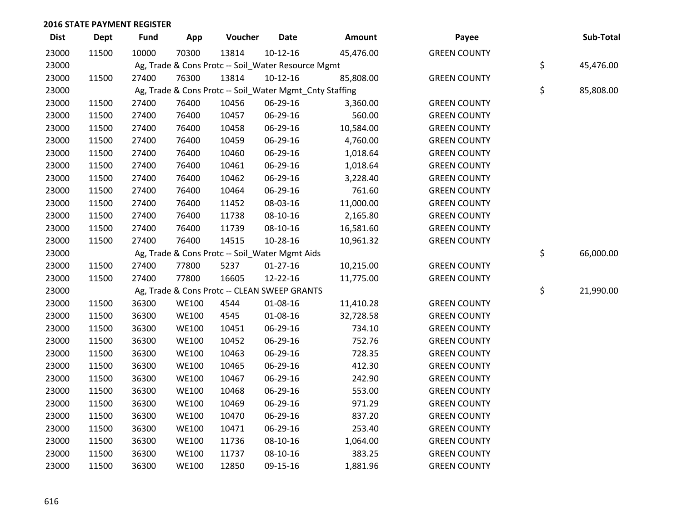| <b>Dist</b> | <b>Dept</b> | <b>Fund</b> | App          | Voucher                                            | <b>Date</b> | Amount                                                  | Payee               | Sub-Total       |
|-------------|-------------|-------------|--------------|----------------------------------------------------|-------------|---------------------------------------------------------|---------------------|-----------------|
| 23000       | 11500       | 10000       | 70300        | 13814                                              | $10-12-16$  | 45,476.00                                               | <b>GREEN COUNTY</b> |                 |
| 23000       |             |             |              | Ag, Trade & Cons Protc -- Soil_Water Resource Mgmt |             |                                                         |                     | \$<br>45,476.00 |
| 23000       | 11500       | 27400       | 76300        | 13814                                              | $10-12-16$  | 85,808.00                                               | <b>GREEN COUNTY</b> |                 |
| 23000       |             |             |              |                                                    |             | Ag, Trade & Cons Protc -- Soil_Water Mgmt_Cnty Staffing |                     | \$<br>85,808.00 |
| 23000       | 11500       | 27400       | 76400        | 10456                                              | 06-29-16    | 3,360.00                                                | <b>GREEN COUNTY</b> |                 |
| 23000       | 11500       | 27400       | 76400        | 10457                                              | 06-29-16    | 560.00                                                  | <b>GREEN COUNTY</b> |                 |
| 23000       | 11500       | 27400       | 76400        | 10458                                              | 06-29-16    | 10,584.00                                               | <b>GREEN COUNTY</b> |                 |
| 23000       | 11500       | 27400       | 76400        | 10459                                              | 06-29-16    | 4,760.00                                                | <b>GREEN COUNTY</b> |                 |
| 23000       | 11500       | 27400       | 76400        | 10460                                              | 06-29-16    | 1,018.64                                                | <b>GREEN COUNTY</b> |                 |
| 23000       | 11500       | 27400       | 76400        | 10461                                              | 06-29-16    | 1,018.64                                                | <b>GREEN COUNTY</b> |                 |
| 23000       | 11500       | 27400       | 76400        | 10462                                              | 06-29-16    | 3,228.40                                                | <b>GREEN COUNTY</b> |                 |
| 23000       | 11500       | 27400       | 76400        | 10464                                              | 06-29-16    | 761.60                                                  | <b>GREEN COUNTY</b> |                 |
| 23000       | 11500       | 27400       | 76400        | 11452                                              | 08-03-16    | 11,000.00                                               | <b>GREEN COUNTY</b> |                 |
| 23000       | 11500       | 27400       | 76400        | 11738                                              | 08-10-16    | 2,165.80                                                | <b>GREEN COUNTY</b> |                 |
| 23000       | 11500       | 27400       | 76400        | 11739                                              | 08-10-16    | 16,581.60                                               | <b>GREEN COUNTY</b> |                 |
| 23000       | 11500       | 27400       | 76400        | 14515                                              | 10-28-16    | 10,961.32                                               | <b>GREEN COUNTY</b> |                 |
| 23000       |             |             |              | Ag, Trade & Cons Protc -- Soil_Water Mgmt Aids     |             |                                                         |                     | \$<br>66,000.00 |
| 23000       | 11500       | 27400       | 77800        | 5237                                               | $01-27-16$  | 10,215.00                                               | <b>GREEN COUNTY</b> |                 |
| 23000       | 11500       | 27400       | 77800        | 16605                                              | 12-22-16    | 11,775.00                                               | <b>GREEN COUNTY</b> |                 |
| 23000       |             |             |              | Ag, Trade & Cons Protc -- CLEAN SWEEP GRANTS       |             |                                                         |                     | \$<br>21,990.00 |
| 23000       | 11500       | 36300       | <b>WE100</b> | 4544                                               | 01-08-16    | 11,410.28                                               | <b>GREEN COUNTY</b> |                 |
| 23000       | 11500       | 36300       | <b>WE100</b> | 4545                                               | 01-08-16    | 32,728.58                                               | <b>GREEN COUNTY</b> |                 |
| 23000       | 11500       | 36300       | <b>WE100</b> | 10451                                              | 06-29-16    | 734.10                                                  | <b>GREEN COUNTY</b> |                 |
| 23000       | 11500       | 36300       | <b>WE100</b> | 10452                                              | 06-29-16    | 752.76                                                  | <b>GREEN COUNTY</b> |                 |
| 23000       | 11500       | 36300       | <b>WE100</b> | 10463                                              | 06-29-16    | 728.35                                                  | <b>GREEN COUNTY</b> |                 |
| 23000       | 11500       | 36300       | <b>WE100</b> | 10465                                              | 06-29-16    | 412.30                                                  | <b>GREEN COUNTY</b> |                 |
| 23000       | 11500       | 36300       | <b>WE100</b> | 10467                                              | 06-29-16    | 242.90                                                  | <b>GREEN COUNTY</b> |                 |
| 23000       | 11500       | 36300       | <b>WE100</b> | 10468                                              | 06-29-16    | 553.00                                                  | <b>GREEN COUNTY</b> |                 |
| 23000       | 11500       | 36300       | <b>WE100</b> | 10469                                              | 06-29-16    | 971.29                                                  | <b>GREEN COUNTY</b> |                 |
| 23000       | 11500       | 36300       | <b>WE100</b> | 10470                                              | 06-29-16    | 837.20                                                  | <b>GREEN COUNTY</b> |                 |
| 23000       | 11500       | 36300       | <b>WE100</b> | 10471                                              | 06-29-16    | 253.40                                                  | <b>GREEN COUNTY</b> |                 |
| 23000       | 11500       | 36300       | <b>WE100</b> | 11736                                              | 08-10-16    | 1,064.00                                                | <b>GREEN COUNTY</b> |                 |
| 23000       | 11500       | 36300       | <b>WE100</b> | 11737                                              | 08-10-16    | 383.25                                                  | <b>GREEN COUNTY</b> |                 |
| 23000       | 11500       | 36300       | <b>WE100</b> | 12850                                              | 09-15-16    | 1,881.96                                                | <b>GREEN COUNTY</b> |                 |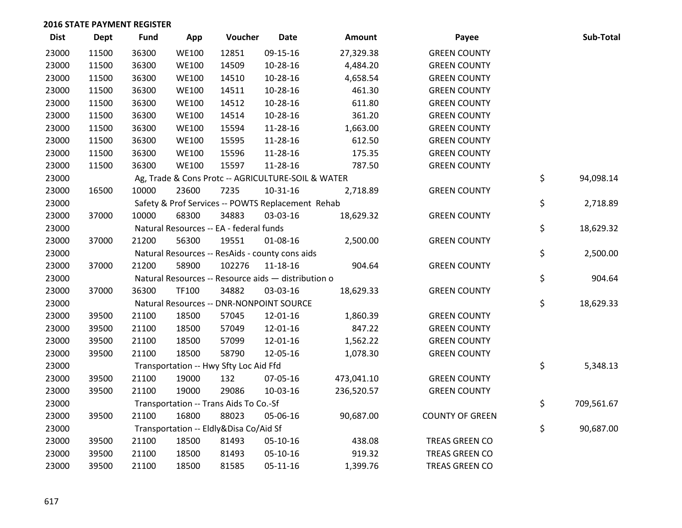| <b>Dist</b> | Dept  | <b>Fund</b> | App          | Voucher                                             | <b>Date</b> | <b>Amount</b> | Payee                  | Sub-Total        |
|-------------|-------|-------------|--------------|-----------------------------------------------------|-------------|---------------|------------------------|------------------|
| 23000       | 11500 | 36300       | <b>WE100</b> | 12851                                               | 09-15-16    | 27,329.38     | <b>GREEN COUNTY</b>    |                  |
| 23000       | 11500 | 36300       | <b>WE100</b> | 14509                                               | 10-28-16    | 4,484.20      | <b>GREEN COUNTY</b>    |                  |
| 23000       | 11500 | 36300       | <b>WE100</b> | 14510                                               | 10-28-16    | 4,658.54      | <b>GREEN COUNTY</b>    |                  |
| 23000       | 11500 | 36300       | <b>WE100</b> | 14511                                               | 10-28-16    | 461.30        | <b>GREEN COUNTY</b>    |                  |
| 23000       | 11500 | 36300       | <b>WE100</b> | 14512                                               | 10-28-16    | 611.80        | <b>GREEN COUNTY</b>    |                  |
| 23000       | 11500 | 36300       | <b>WE100</b> | 14514                                               | 10-28-16    | 361.20        | <b>GREEN COUNTY</b>    |                  |
| 23000       | 11500 | 36300       | <b>WE100</b> | 15594                                               | 11-28-16    | 1,663.00      | <b>GREEN COUNTY</b>    |                  |
| 23000       | 11500 | 36300       | <b>WE100</b> | 15595                                               | 11-28-16    | 612.50        | <b>GREEN COUNTY</b>    |                  |
| 23000       | 11500 | 36300       | <b>WE100</b> | 15596                                               | 11-28-16    | 175.35        | <b>GREEN COUNTY</b>    |                  |
| 23000       | 11500 | 36300       | <b>WE100</b> | 15597                                               | 11-28-16    | 787.50        | <b>GREEN COUNTY</b>    |                  |
| 23000       |       |             |              | Ag, Trade & Cons Protc -- AGRICULTURE-SOIL & WATER  |             |               |                        | \$<br>94,098.14  |
| 23000       | 16500 | 10000       | 23600        | 7235                                                | 10-31-16    | 2,718.89      | <b>GREEN COUNTY</b>    |                  |
| 23000       |       |             |              | Safety & Prof Services -- POWTS Replacement Rehab   |             |               |                        | \$<br>2,718.89   |
| 23000       | 37000 | 10000       | 68300        | 34883                                               | 03-03-16    | 18,629.32     | <b>GREEN COUNTY</b>    |                  |
| 23000       |       |             |              | Natural Resources -- EA - federal funds             |             |               |                        | \$<br>18,629.32  |
| 23000       | 37000 | 21200       | 56300        | 19551                                               | 01-08-16    | 2,500.00      | <b>GREEN COUNTY</b>    |                  |
| 23000       |       |             |              | Natural Resources -- ResAids - county cons aids     |             |               |                        | \$<br>2,500.00   |
| 23000       | 37000 | 21200       | 58900        | 102276                                              | 11-18-16    | 904.64        | <b>GREEN COUNTY</b>    |                  |
| 23000       |       |             |              | Natural Resources -- Resource aids - distribution o |             |               |                        | \$<br>904.64     |
| 23000       | 37000 | 36300       | TF100        | 34882                                               | 03-03-16    | 18,629.33     | <b>GREEN COUNTY</b>    |                  |
| 23000       |       |             |              | Natural Resources -- DNR-NONPOINT SOURCE            |             |               |                        | \$<br>18,629.33  |
| 23000       | 39500 | 21100       | 18500        | 57045                                               | 12-01-16    | 1,860.39      | <b>GREEN COUNTY</b>    |                  |
| 23000       | 39500 | 21100       | 18500        | 57049                                               | 12-01-16    | 847.22        | <b>GREEN COUNTY</b>    |                  |
| 23000       | 39500 | 21100       | 18500        | 57099                                               | 12-01-16    | 1,562.22      | <b>GREEN COUNTY</b>    |                  |
| 23000       | 39500 | 21100       | 18500        | 58790                                               | 12-05-16    | 1,078.30      | <b>GREEN COUNTY</b>    |                  |
| 23000       |       |             |              | Transportation -- Hwy Sfty Loc Aid Ffd              |             |               |                        | \$<br>5,348.13   |
| 23000       | 39500 | 21100       | 19000        | 132                                                 | 07-05-16    | 473,041.10    | <b>GREEN COUNTY</b>    |                  |
| 23000       | 39500 | 21100       | 19000        | 29086                                               | 10-03-16    | 236,520.57    | <b>GREEN COUNTY</b>    |                  |
| 23000       |       |             |              | Transportation -- Trans Aids To Co.-Sf              |             |               |                        | \$<br>709,561.67 |
| 23000       | 39500 | 21100       | 16800        | 88023                                               | 05-06-16    | 90,687.00     | <b>COUNTY OF GREEN</b> |                  |
| 23000       |       |             |              | Transportation -- Eldly&Disa Co/Aid Sf              |             |               |                        | \$<br>90,687.00  |
| 23000       | 39500 | 21100       | 18500        | 81493                                               | 05-10-16    | 438.08        | TREAS GREEN CO         |                  |
| 23000       | 39500 | 21100       | 18500        | 81493                                               | 05-10-16    | 919.32        | TREAS GREEN CO         |                  |
| 23000       | 39500 | 21100       | 18500        | 81585                                               | $05-11-16$  | 1,399.76      | TREAS GREEN CO         |                  |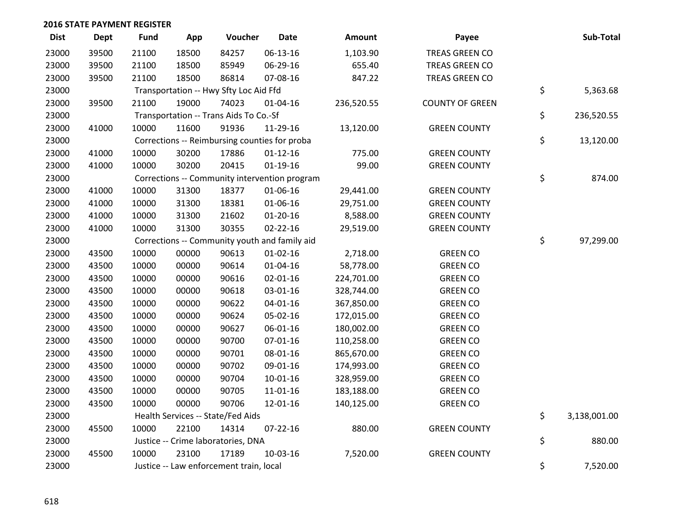| <b>Dist</b> | <b>Dept</b> | <b>Fund</b> | App   | Voucher                                 | <b>Date</b>                                   | <b>Amount</b> | Payee                  | Sub-Total          |
|-------------|-------------|-------------|-------|-----------------------------------------|-----------------------------------------------|---------------|------------------------|--------------------|
| 23000       | 39500       | 21100       | 18500 | 84257                                   | 06-13-16                                      | 1,103.90      | TREAS GREEN CO         |                    |
| 23000       | 39500       | 21100       | 18500 | 85949                                   | 06-29-16                                      | 655.40        | TREAS GREEN CO         |                    |
| 23000       | 39500       | 21100       | 18500 | 86814                                   | 07-08-16                                      | 847.22        | TREAS GREEN CO         |                    |
| 23000       |             |             |       | Transportation -- Hwy Sfty Loc Aid Ffd  |                                               |               |                        | \$<br>5,363.68     |
| 23000       | 39500       | 21100       | 19000 | 74023                                   | 01-04-16                                      | 236,520.55    | <b>COUNTY OF GREEN</b> |                    |
| 23000       |             |             |       | Transportation -- Trans Aids To Co.-Sf  |                                               |               |                        | \$<br>236,520.55   |
| 23000       | 41000       | 10000       | 11600 | 91936                                   | 11-29-16                                      | 13,120.00     | <b>GREEN COUNTY</b>    |                    |
| 23000       |             |             |       |                                         | Corrections -- Reimbursing counties for proba |               |                        | \$<br>13,120.00    |
| 23000       | 41000       | 10000       | 30200 | 17886                                   | $01 - 12 - 16$                                | 775.00        | <b>GREEN COUNTY</b>    |                    |
| 23000       | 41000       | 10000       | 30200 | 20415                                   | $01-19-16$                                    | 99.00         | <b>GREEN COUNTY</b>    |                    |
| 23000       |             |             |       |                                         | Corrections -- Community intervention program |               |                        | \$<br>874.00       |
| 23000       | 41000       | 10000       | 31300 | 18377                                   | 01-06-16                                      | 29,441.00     | <b>GREEN COUNTY</b>    |                    |
| 23000       | 41000       | 10000       | 31300 | 18381                                   | 01-06-16                                      | 29,751.00     | <b>GREEN COUNTY</b>    |                    |
| 23000       | 41000       | 10000       | 31300 | 21602                                   | $01 - 20 - 16$                                | 8,588.00      | <b>GREEN COUNTY</b>    |                    |
| 23000       | 41000       | 10000       | 31300 | 30355                                   | $02 - 22 - 16$                                | 29,519.00     | <b>GREEN COUNTY</b>    |                    |
| 23000       |             |             |       |                                         | Corrections -- Community youth and family aid |               |                        | \$<br>97,299.00    |
| 23000       | 43500       | 10000       | 00000 | 90613                                   | $01 - 02 - 16$                                | 2,718.00      | <b>GREEN CO</b>        |                    |
| 23000       | 43500       | 10000       | 00000 | 90614                                   | $01 - 04 - 16$                                | 58,778.00     | <b>GREEN CO</b>        |                    |
| 23000       | 43500       | 10000       | 00000 | 90616                                   | $02 - 01 - 16$                                | 224,701.00    | <b>GREEN CO</b>        |                    |
| 23000       | 43500       | 10000       | 00000 | 90618                                   | 03-01-16                                      | 328,744.00    | <b>GREEN CO</b>        |                    |
| 23000       | 43500       | 10000       | 00000 | 90622                                   | $04 - 01 - 16$                                | 367,850.00    | <b>GREEN CO</b>        |                    |
| 23000       | 43500       | 10000       | 00000 | 90624                                   | 05-02-16                                      | 172,015.00    | <b>GREEN CO</b>        |                    |
| 23000       | 43500       | 10000       | 00000 | 90627                                   | 06-01-16                                      | 180,002.00    | <b>GREEN CO</b>        |                    |
| 23000       | 43500       | 10000       | 00000 | 90700                                   | $07 - 01 - 16$                                | 110,258.00    | <b>GREEN CO</b>        |                    |
| 23000       | 43500       | 10000       | 00000 | 90701                                   | 08-01-16                                      | 865,670.00    | <b>GREEN CO</b>        |                    |
| 23000       | 43500       | 10000       | 00000 | 90702                                   | 09-01-16                                      | 174,993.00    | <b>GREEN CO</b>        |                    |
| 23000       | 43500       | 10000       | 00000 | 90704                                   | $10-01-16$                                    | 328,959.00    | <b>GREEN CO</b>        |                    |
| 23000       | 43500       | 10000       | 00000 | 90705                                   | $11 - 01 - 16$                                | 183,188.00    | <b>GREEN CO</b>        |                    |
| 23000       | 43500       | 10000       | 00000 | 90706                                   | 12-01-16                                      | 140,125.00    | <b>GREEN CO</b>        |                    |
| 23000       |             |             |       | Health Services -- State/Fed Aids       |                                               |               |                        | \$<br>3,138,001.00 |
| 23000       | 45500       | 10000       | 22100 | 14314                                   | $07 - 22 - 16$                                | 880.00        | <b>GREEN COUNTY</b>    |                    |
| 23000       |             |             |       | Justice -- Crime laboratories, DNA      |                                               |               |                        | \$<br>880.00       |
| 23000       | 45500       | 10000       | 23100 | 17189                                   | 10-03-16                                      | 7,520.00      | <b>GREEN COUNTY</b>    |                    |
| 23000       |             |             |       | Justice -- Law enforcement train, local |                                               |               |                        | \$<br>7,520.00     |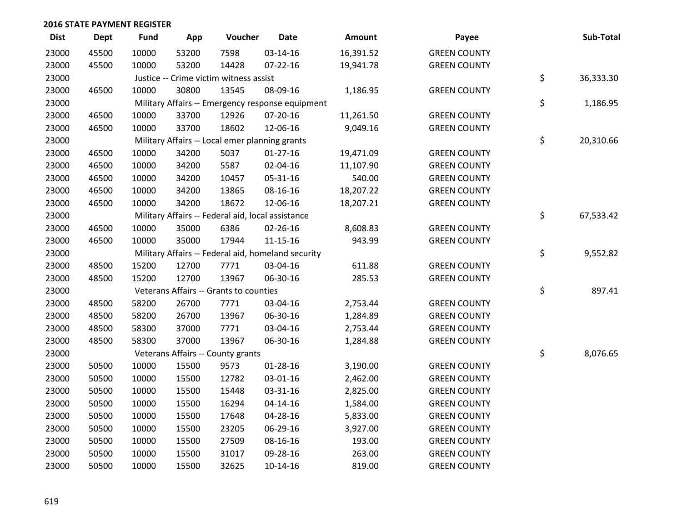| <b>Dist</b> | <b>Dept</b> | <b>Fund</b> | App   | Voucher                                           | <b>Date</b>                                        | Amount    | Payee               | Sub-Total       |
|-------------|-------------|-------------|-------|---------------------------------------------------|----------------------------------------------------|-----------|---------------------|-----------------|
| 23000       | 45500       | 10000       | 53200 | 7598                                              | 03-14-16                                           | 16,391.52 | <b>GREEN COUNTY</b> |                 |
| 23000       | 45500       | 10000       | 53200 | 14428                                             | $07 - 22 - 16$                                     | 19,941.78 | <b>GREEN COUNTY</b> |                 |
| 23000       |             |             |       | Justice -- Crime victim witness assist            |                                                    |           |                     | \$<br>36,333.30 |
| 23000       | 46500       | 10000       | 30800 | 13545                                             | 08-09-16                                           | 1,186.95  | <b>GREEN COUNTY</b> |                 |
| 23000       |             |             |       |                                                   | Military Affairs -- Emergency response equipment   |           |                     | \$<br>1,186.95  |
| 23000       | 46500       | 10000       | 33700 | 12926                                             | 07-20-16                                           | 11,261.50 | <b>GREEN COUNTY</b> |                 |
| 23000       | 46500       | 10000       | 33700 | 18602                                             | 12-06-16                                           | 9,049.16  | <b>GREEN COUNTY</b> |                 |
| 23000       |             |             |       | Military Affairs -- Local emer planning grants    |                                                    |           |                     | \$<br>20,310.66 |
| 23000       | 46500       | 10000       | 34200 | 5037                                              | $01-27-16$                                         | 19,471.09 | <b>GREEN COUNTY</b> |                 |
| 23000       | 46500       | 10000       | 34200 | 5587                                              | 02-04-16                                           | 11,107.90 | <b>GREEN COUNTY</b> |                 |
| 23000       | 46500       | 10000       | 34200 | 10457                                             | 05-31-16                                           | 540.00    | <b>GREEN COUNTY</b> |                 |
| 23000       | 46500       | 10000       | 34200 | 13865                                             | 08-16-16                                           | 18,207.22 | <b>GREEN COUNTY</b> |                 |
| 23000       | 46500       | 10000       | 34200 | 18672                                             | 12-06-16                                           | 18,207.21 | <b>GREEN COUNTY</b> |                 |
| 23000       |             |             |       | Military Affairs -- Federal aid, local assistance |                                                    |           |                     | \$<br>67,533.42 |
| 23000       | 46500       | 10000       | 35000 | 6386                                              | 02-26-16                                           | 8,608.83  | <b>GREEN COUNTY</b> |                 |
| 23000       | 46500       | 10000       | 35000 | 17944                                             | 11-15-16                                           | 943.99    | <b>GREEN COUNTY</b> |                 |
| 23000       |             |             |       |                                                   | Military Affairs -- Federal aid, homeland security |           |                     | \$<br>9,552.82  |
| 23000       | 48500       | 15200       | 12700 | 7771                                              | 03-04-16                                           | 611.88    | <b>GREEN COUNTY</b> |                 |
| 23000       | 48500       | 15200       | 12700 | 13967                                             | 06-30-16                                           | 285.53    | <b>GREEN COUNTY</b> |                 |
| 23000       |             |             |       | Veterans Affairs -- Grants to counties            |                                                    |           |                     | \$<br>897.41    |
| 23000       | 48500       | 58200       | 26700 | 7771                                              | 03-04-16                                           | 2,753.44  | <b>GREEN COUNTY</b> |                 |
| 23000       | 48500       | 58200       | 26700 | 13967                                             | 06-30-16                                           | 1,284.89  | <b>GREEN COUNTY</b> |                 |
| 23000       | 48500       | 58300       | 37000 | 7771                                              | 03-04-16                                           | 2,753.44  | <b>GREEN COUNTY</b> |                 |
| 23000       | 48500       | 58300       | 37000 | 13967                                             | 06-30-16                                           | 1,284.88  | <b>GREEN COUNTY</b> |                 |
| 23000       |             |             |       | Veterans Affairs -- County grants                 |                                                    |           |                     | \$<br>8,076.65  |
| 23000       | 50500       | 10000       | 15500 | 9573                                              | $01 - 28 - 16$                                     | 3,190.00  | <b>GREEN COUNTY</b> |                 |
| 23000       | 50500       | 10000       | 15500 | 12782                                             | 03-01-16                                           | 2,462.00  | <b>GREEN COUNTY</b> |                 |
| 23000       | 50500       | 10000       | 15500 | 15448                                             | 03-31-16                                           | 2,825.00  | <b>GREEN COUNTY</b> |                 |
| 23000       | 50500       | 10000       | 15500 | 16294                                             | $04 - 14 - 16$                                     | 1,584.00  | <b>GREEN COUNTY</b> |                 |
| 23000       | 50500       | 10000       | 15500 | 17648                                             | 04-28-16                                           | 5,833.00  | <b>GREEN COUNTY</b> |                 |
| 23000       | 50500       | 10000       | 15500 | 23205                                             | 06-29-16                                           | 3,927.00  | <b>GREEN COUNTY</b> |                 |
| 23000       | 50500       | 10000       | 15500 | 27509                                             | 08-16-16                                           | 193.00    | <b>GREEN COUNTY</b> |                 |
| 23000       | 50500       | 10000       | 15500 | 31017                                             | 09-28-16                                           | 263.00    | <b>GREEN COUNTY</b> |                 |
| 23000       | 50500       | 10000       | 15500 | 32625                                             | 10-14-16                                           | 819.00    | <b>GREEN COUNTY</b> |                 |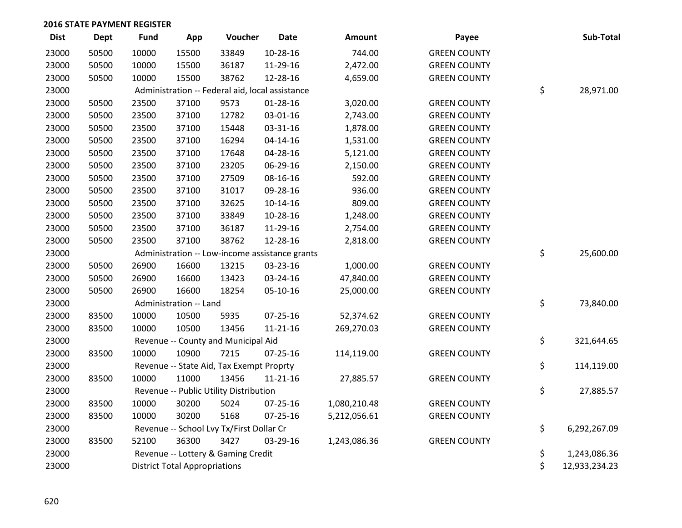| <b>Dist</b> | <b>Dept</b> | <b>Fund</b> | App                                  | Voucher                                         | <b>Date</b>                                    | Amount       | Payee               | Sub-Total           |
|-------------|-------------|-------------|--------------------------------------|-------------------------------------------------|------------------------------------------------|--------------|---------------------|---------------------|
| 23000       | 50500       | 10000       | 15500                                | 33849                                           | 10-28-16                                       | 744.00       | <b>GREEN COUNTY</b> |                     |
| 23000       | 50500       | 10000       | 15500                                | 36187                                           | 11-29-16                                       | 2,472.00     | <b>GREEN COUNTY</b> |                     |
| 23000       | 50500       | 10000       | 15500                                | 38762                                           | 12-28-16                                       | 4,659.00     | <b>GREEN COUNTY</b> |                     |
| 23000       |             |             |                                      | Administration -- Federal aid, local assistance |                                                |              |                     | \$<br>28,971.00     |
| 23000       | 50500       | 23500       | 37100                                | 9573                                            | $01 - 28 - 16$                                 | 3,020.00     | <b>GREEN COUNTY</b> |                     |
| 23000       | 50500       | 23500       | 37100                                | 12782                                           | 03-01-16                                       | 2,743.00     | <b>GREEN COUNTY</b> |                     |
| 23000       | 50500       | 23500       | 37100                                | 15448                                           | 03-31-16                                       | 1,878.00     | <b>GREEN COUNTY</b> |                     |
| 23000       | 50500       | 23500       | 37100                                | 16294                                           | $04 - 14 - 16$                                 | 1,531.00     | <b>GREEN COUNTY</b> |                     |
| 23000       | 50500       | 23500       | 37100                                | 17648                                           | 04-28-16                                       | 5,121.00     | <b>GREEN COUNTY</b> |                     |
| 23000       | 50500       | 23500       | 37100                                | 23205                                           | 06-29-16                                       | 2,150.00     | <b>GREEN COUNTY</b> |                     |
| 23000       | 50500       | 23500       | 37100                                | 27509                                           | 08-16-16                                       | 592.00       | <b>GREEN COUNTY</b> |                     |
| 23000       | 50500       | 23500       | 37100                                | 31017                                           | 09-28-16                                       | 936.00       | <b>GREEN COUNTY</b> |                     |
| 23000       | 50500       | 23500       | 37100                                | 32625                                           | $10 - 14 - 16$                                 | 809.00       | <b>GREEN COUNTY</b> |                     |
| 23000       | 50500       | 23500       | 37100                                | 33849                                           | 10-28-16                                       | 1,248.00     | <b>GREEN COUNTY</b> |                     |
| 23000       | 50500       | 23500       | 37100                                | 36187                                           | 11-29-16                                       | 2,754.00     | <b>GREEN COUNTY</b> |                     |
| 23000       | 50500       | 23500       | 37100                                | 38762                                           | 12-28-16                                       | 2,818.00     | <b>GREEN COUNTY</b> |                     |
| 23000       |             |             |                                      |                                                 | Administration -- Low-income assistance grants |              |                     | \$<br>25,600.00     |
| 23000       | 50500       | 26900       | 16600                                | 13215                                           | 03-23-16                                       | 1,000.00     | <b>GREEN COUNTY</b> |                     |
| 23000       | 50500       | 26900       | 16600                                | 13423                                           | 03-24-16                                       | 47,840.00    | <b>GREEN COUNTY</b> |                     |
| 23000       | 50500       | 26900       | 16600                                | 18254                                           | 05-10-16                                       | 25,000.00    | <b>GREEN COUNTY</b> |                     |
| 23000       |             |             | Administration -- Land               |                                                 |                                                |              |                     | \$<br>73,840.00     |
| 23000       | 83500       | 10000       | 10500                                | 5935                                            | $07 - 25 - 16$                                 | 52,374.62    | <b>GREEN COUNTY</b> |                     |
| 23000       | 83500       | 10000       | 10500                                | 13456                                           | $11 - 21 - 16$                                 | 269,270.03   | <b>GREEN COUNTY</b> |                     |
| 23000       |             |             |                                      | Revenue -- County and Municipal Aid             |                                                |              |                     | \$<br>321,644.65    |
| 23000       | 83500       | 10000       | 10900                                | 7215                                            | 07-25-16                                       | 114,119.00   | <b>GREEN COUNTY</b> |                     |
| 23000       |             |             |                                      | Revenue -- State Aid, Tax Exempt Proprty        |                                                |              |                     | \$<br>114,119.00    |
| 23000       | 83500       | 10000       | 11000                                | 13456                                           | $11 - 21 - 16$                                 | 27,885.57    | <b>GREEN COUNTY</b> |                     |
| 23000       |             |             |                                      | Revenue -- Public Utility Distribution          |                                                |              |                     | \$<br>27,885.57     |
| 23000       | 83500       | 10000       | 30200                                | 5024                                            | $07 - 25 - 16$                                 | 1,080,210.48 | <b>GREEN COUNTY</b> |                     |
| 23000       | 83500       | 10000       | 30200                                | 5168                                            | $07 - 25 - 16$                                 | 5,212,056.61 | <b>GREEN COUNTY</b> |                     |
| 23000       |             |             |                                      | Revenue -- School Lvy Tx/First Dollar Cr        |                                                |              |                     | \$<br>6,292,267.09  |
| 23000       | 83500       | 52100       | 36300                                | 3427                                            | 03-29-16                                       | 1,243,086.36 | <b>GREEN COUNTY</b> |                     |
| 23000       |             |             |                                      | Revenue -- Lottery & Gaming Credit              |                                                |              |                     | \$<br>1,243,086.36  |
| 23000       |             |             | <b>District Total Appropriations</b> |                                                 |                                                |              |                     | \$<br>12,933,234.23 |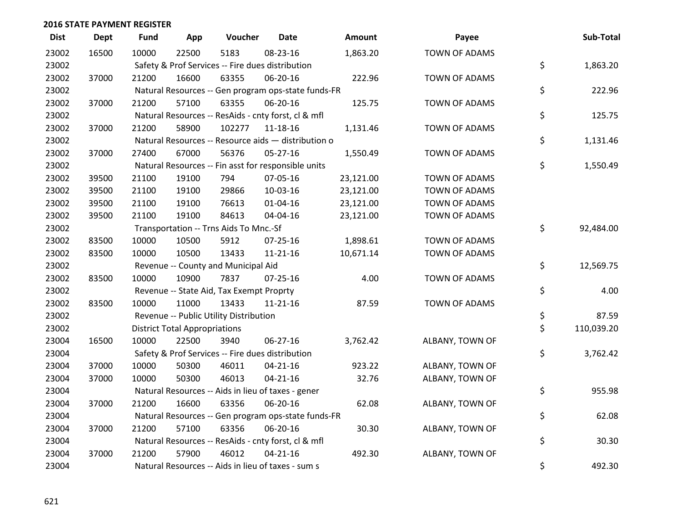| <b>Dist</b> | <b>Dept</b> | <b>Fund</b> | App                                  | Voucher                                             | <b>Date</b>    | Amount    | Payee                | Sub-Total        |
|-------------|-------------|-------------|--------------------------------------|-----------------------------------------------------|----------------|-----------|----------------------|------------------|
| 23002       | 16500       | 10000       | 22500                                | 5183                                                | 08-23-16       | 1,863.20  | <b>TOWN OF ADAMS</b> |                  |
| 23002       |             |             |                                      | Safety & Prof Services -- Fire dues distribution    |                |           |                      | \$<br>1,863.20   |
| 23002       | 37000       | 21200       | 16600                                | 63355                                               | 06-20-16       | 222.96    | TOWN OF ADAMS        |                  |
| 23002       |             |             |                                      | Natural Resources -- Gen program ops-state funds-FR |                |           |                      | \$<br>222.96     |
| 23002       | 37000       | 21200       | 57100                                | 63355                                               | 06-20-16       | 125.75    | TOWN OF ADAMS        |                  |
| 23002       |             |             |                                      | Natural Resources -- ResAids - cnty forst, cl & mfl |                |           |                      | \$<br>125.75     |
| 23002       | 37000       | 21200       | 58900                                | 102277                                              | $11 - 18 - 16$ | 1,131.46  | TOWN OF ADAMS        |                  |
| 23002       |             |             |                                      | Natural Resources -- Resource aids - distribution o |                |           |                      | \$<br>1,131.46   |
| 23002       | 37000       | 27400       | 67000                                | 56376                                               | 05-27-16       | 1,550.49  | TOWN OF ADAMS        |                  |
| 23002       |             |             |                                      | Natural Resources -- Fin asst for responsible units |                |           |                      | \$<br>1,550.49   |
| 23002       | 39500       | 21100       | 19100                                | 794                                                 | 07-05-16       | 23,121.00 | TOWN OF ADAMS        |                  |
| 23002       | 39500       | 21100       | 19100                                | 29866                                               | 10-03-16       | 23,121.00 | <b>TOWN OF ADAMS</b> |                  |
| 23002       | 39500       | 21100       | 19100                                | 76613                                               | 01-04-16       | 23,121.00 | TOWN OF ADAMS        |                  |
| 23002       | 39500       | 21100       | 19100                                | 84613                                               | 04-04-16       | 23,121.00 | TOWN OF ADAMS        |                  |
| 23002       |             |             |                                      | Transportation -- Trns Aids To Mnc.-Sf              |                |           |                      | \$<br>92,484.00  |
| 23002       | 83500       | 10000       | 10500                                | 5912                                                | $07 - 25 - 16$ | 1,898.61  | <b>TOWN OF ADAMS</b> |                  |
| 23002       | 83500       | 10000       | 10500                                | 13433                                               | $11 - 21 - 16$ | 10,671.14 | TOWN OF ADAMS        |                  |
| 23002       |             |             |                                      | Revenue -- County and Municipal Aid                 |                |           |                      | \$<br>12,569.75  |
| 23002       | 83500       | 10000       | 10900                                | 7837                                                | $07 - 25 - 16$ | 4.00      | <b>TOWN OF ADAMS</b> |                  |
| 23002       |             |             |                                      | Revenue -- State Aid, Tax Exempt Proprty            |                |           |                      | \$<br>4.00       |
| 23002       | 83500       | 10000       | 11000                                | 13433                                               | $11 - 21 - 16$ | 87.59     | TOWN OF ADAMS        |                  |
| 23002       |             |             |                                      | Revenue -- Public Utility Distribution              |                |           |                      | \$<br>87.59      |
| 23002       |             |             | <b>District Total Appropriations</b> |                                                     |                |           |                      | \$<br>110,039.20 |
| 23004       | 16500       | 10000       | 22500                                | 3940                                                | $06 - 27 - 16$ | 3,762.42  | ALBANY, TOWN OF      |                  |
| 23004       |             |             |                                      | Safety & Prof Services -- Fire dues distribution    |                |           |                      | \$<br>3,762.42   |
| 23004       | 37000       | 10000       | 50300                                | 46011                                               | $04 - 21 - 16$ | 923.22    | ALBANY, TOWN OF      |                  |
| 23004       | 37000       | 10000       | 50300                                | 46013                                               | $04 - 21 - 16$ | 32.76     | ALBANY, TOWN OF      |                  |
| 23004       |             |             |                                      | Natural Resources -- Aids in lieu of taxes - gener  |                |           |                      | \$<br>955.98     |
| 23004       | 37000       | 21200       | 16600                                | 63356                                               | 06-20-16       | 62.08     | ALBANY, TOWN OF      |                  |
| 23004       |             |             |                                      | Natural Resources -- Gen program ops-state funds-FR |                |           |                      | \$<br>62.08      |
| 23004       | 37000       | 21200       | 57100                                | 63356                                               | 06-20-16       | 30.30     | ALBANY, TOWN OF      |                  |
| 23004       |             |             |                                      | Natural Resources -- ResAids - cnty forst, cl & mfl |                |           |                      | \$<br>30.30      |
| 23004       | 37000       | 21200       | 57900                                | 46012                                               | $04 - 21 - 16$ | 492.30    | ALBANY, TOWN OF      |                  |
| 23004       |             |             |                                      | Natural Resources -- Aids in lieu of taxes - sum s  |                |           |                      | \$<br>492.30     |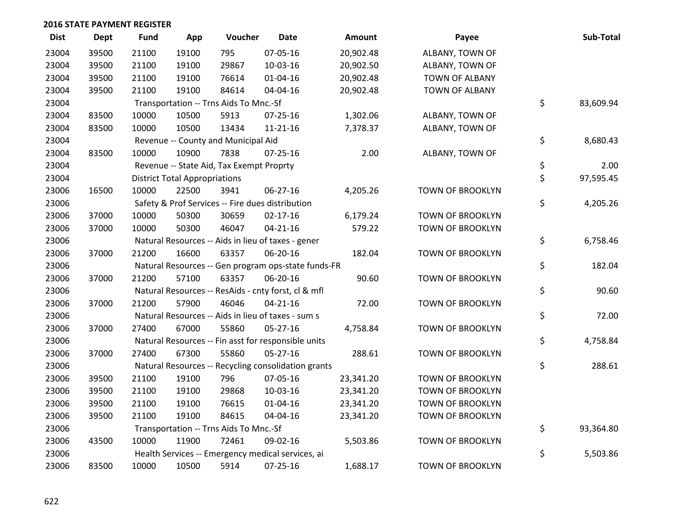| <b>Dist</b> | <b>Dept</b> | <b>Fund</b> | App                                  | Voucher                                  | <b>Date</b>                                         | <b>Amount</b> | Payee                   | Sub-Total       |
|-------------|-------------|-------------|--------------------------------------|------------------------------------------|-----------------------------------------------------|---------------|-------------------------|-----------------|
| 23004       | 39500       | 21100       | 19100                                | 795                                      | 07-05-16                                            | 20,902.48     | ALBANY, TOWN OF         |                 |
| 23004       | 39500       | 21100       | 19100                                | 29867                                    | 10-03-16                                            | 20,902.50     | ALBANY, TOWN OF         |                 |
| 23004       | 39500       | 21100       | 19100                                | 76614                                    | $01 - 04 - 16$                                      | 20,902.48     | <b>TOWN OF ALBANY</b>   |                 |
| 23004       | 39500       | 21100       | 19100                                | 84614                                    | 04-04-16                                            | 20,902.48     | TOWN OF ALBANY          |                 |
| 23004       |             |             |                                      | Transportation -- Trns Aids To Mnc.-Sf   |                                                     |               |                         | \$<br>83,609.94 |
| 23004       | 83500       | 10000       | 10500                                | 5913                                     | $07 - 25 - 16$                                      | 1,302.06      | ALBANY, TOWN OF         |                 |
| 23004       | 83500       | 10000       | 10500                                | 13434                                    | $11 - 21 - 16$                                      | 7,378.37      | ALBANY, TOWN OF         |                 |
| 23004       |             |             |                                      | Revenue -- County and Municipal Aid      |                                                     |               |                         | \$<br>8,680.43  |
| 23004       | 83500       | 10000       | 10900                                | 7838                                     | $07 - 25 - 16$                                      | 2.00          | ALBANY, TOWN OF         |                 |
| 23004       |             |             |                                      | Revenue -- State Aid, Tax Exempt Proprty |                                                     |               |                         | \$<br>2.00      |
| 23004       |             |             | <b>District Total Appropriations</b> |                                          |                                                     |               |                         | \$<br>97,595.45 |
| 23006       | 16500       | 10000       | 22500                                | 3941                                     | 06-27-16                                            | 4,205.26      | TOWN OF BROOKLYN        |                 |
| 23006       |             |             |                                      |                                          | Safety & Prof Services -- Fire dues distribution    |               |                         | \$<br>4,205.26  |
| 23006       | 37000       | 10000       | 50300                                | 30659                                    | $02 - 17 - 16$                                      | 6,179.24      | TOWN OF BROOKLYN        |                 |
| 23006       | 37000       | 10000       | 50300                                | 46047                                    | $04 - 21 - 16$                                      | 579.22        | TOWN OF BROOKLYN        |                 |
| 23006       |             |             |                                      |                                          | Natural Resources -- Aids in lieu of taxes - gener  |               |                         | \$<br>6,758.46  |
| 23006       | 37000       | 21200       | 16600                                | 63357                                    | 06-20-16                                            | 182.04        | <b>TOWN OF BROOKLYN</b> |                 |
| 23006       |             |             |                                      |                                          | Natural Resources -- Gen program ops-state funds-FR |               |                         | \$<br>182.04    |
| 23006       | 37000       | 21200       | 57100                                | 63357                                    | 06-20-16                                            | 90.60         | TOWN OF BROOKLYN        |                 |
| 23006       |             |             |                                      |                                          | Natural Resources -- ResAids - cnty forst, cl & mfl |               |                         | \$<br>90.60     |
| 23006       | 37000       | 21200       | 57900                                | 46046                                    | $04 - 21 - 16$                                      | 72.00         | <b>TOWN OF BROOKLYN</b> |                 |
| 23006       |             |             |                                      |                                          | Natural Resources -- Aids in lieu of taxes - sum s  |               |                         | \$<br>72.00     |
| 23006       | 37000       | 27400       | 67000                                | 55860                                    | $05 - 27 - 16$                                      | 4,758.84      | TOWN OF BROOKLYN        |                 |
| 23006       |             |             |                                      |                                          | Natural Resources -- Fin asst for responsible units |               |                         | \$<br>4,758.84  |
| 23006       | 37000       | 27400       | 67300                                | 55860                                    | 05-27-16                                            | 288.61        | TOWN OF BROOKLYN        |                 |
| 23006       |             |             |                                      |                                          | Natural Resources -- Recycling consolidation grants |               |                         | \$<br>288.61    |
| 23006       | 39500       | 21100       | 19100                                | 796                                      | 07-05-16                                            | 23,341.20     | TOWN OF BROOKLYN        |                 |
| 23006       | 39500       | 21100       | 19100                                | 29868                                    | 10-03-16                                            | 23,341.20     | <b>TOWN OF BROOKLYN</b> |                 |
| 23006       | 39500       | 21100       | 19100                                | 76615                                    | $01 - 04 - 16$                                      | 23,341.20     | TOWN OF BROOKLYN        |                 |
| 23006       | 39500       | 21100       | 19100                                | 84615                                    | 04-04-16                                            | 23,341.20     | TOWN OF BROOKLYN        |                 |
| 23006       |             |             |                                      | Transportation -- Trns Aids To Mnc.-Sf   |                                                     |               |                         | \$<br>93,364.80 |
| 23006       | 43500       | 10000       | 11900                                | 72461                                    | 09-02-16                                            | 5,503.86      | <b>TOWN OF BROOKLYN</b> |                 |
| 23006       |             |             |                                      |                                          | Health Services -- Emergency medical services, ai   |               |                         | \$<br>5,503.86  |
| 23006       | 83500       | 10000       | 10500                                | 5914                                     | 07-25-16                                            | 1,688.17      | TOWN OF BROOKLYN        |                 |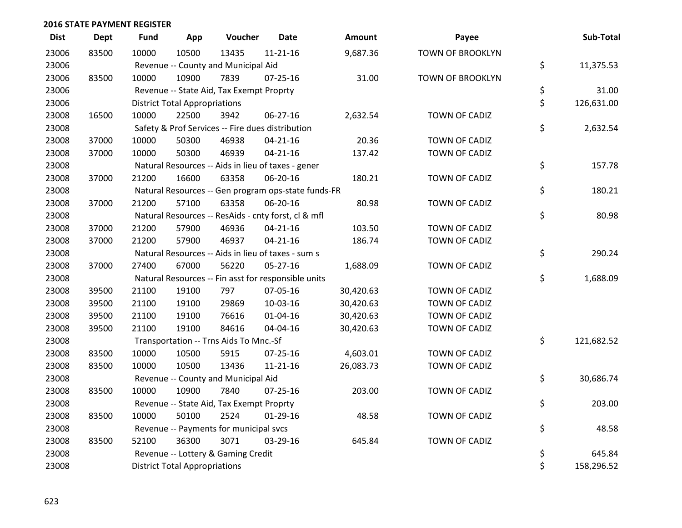| <b>Dist</b> | <b>Dept</b> | <b>Fund</b> | App                                  | Voucher                                             | <b>Date</b>    | Amount    | Payee                   | Sub-Total        |
|-------------|-------------|-------------|--------------------------------------|-----------------------------------------------------|----------------|-----------|-------------------------|------------------|
| 23006       | 83500       | 10000       | 10500                                | 13435                                               | $11 - 21 - 16$ | 9,687.36  | <b>TOWN OF BROOKLYN</b> |                  |
| 23006       |             |             |                                      | Revenue -- County and Municipal Aid                 |                |           |                         | \$<br>11,375.53  |
| 23006       | 83500       | 10000       | 10900                                | 7839                                                | 07-25-16       | 31.00     | TOWN OF BROOKLYN        |                  |
| 23006       |             |             |                                      | Revenue -- State Aid, Tax Exempt Proprty            |                |           |                         | \$<br>31.00      |
| 23006       |             |             | <b>District Total Appropriations</b> |                                                     |                |           |                         | \$<br>126,631.00 |
| 23008       | 16500       | 10000       | 22500                                | 3942                                                | 06-27-16       | 2,632.54  | TOWN OF CADIZ           |                  |
| 23008       |             |             |                                      | Safety & Prof Services -- Fire dues distribution    |                |           |                         | \$<br>2,632.54   |
| 23008       | 37000       | 10000       | 50300                                | 46938                                               | $04 - 21 - 16$ | 20.36     | TOWN OF CADIZ           |                  |
| 23008       | 37000       | 10000       | 50300                                | 46939                                               | $04 - 21 - 16$ | 137.42    | TOWN OF CADIZ           |                  |
| 23008       |             |             |                                      | Natural Resources -- Aids in lieu of taxes - gener  |                |           |                         | \$<br>157.78     |
| 23008       | 37000       | 21200       | 16600                                | 63358                                               | 06-20-16       | 180.21    | TOWN OF CADIZ           |                  |
| 23008       |             |             |                                      | Natural Resources -- Gen program ops-state funds-FR |                |           |                         | \$<br>180.21     |
| 23008       | 37000       | 21200       | 57100                                | 63358                                               | 06-20-16       | 80.98     | TOWN OF CADIZ           |                  |
| 23008       |             |             |                                      | Natural Resources -- ResAids - cnty forst, cl & mfl |                |           |                         | \$<br>80.98      |
| 23008       | 37000       | 21200       | 57900                                | 46936                                               | $04 - 21 - 16$ | 103.50    | TOWN OF CADIZ           |                  |
| 23008       | 37000       | 21200       | 57900                                | 46937                                               | $04 - 21 - 16$ | 186.74    | TOWN OF CADIZ           |                  |
| 23008       |             |             |                                      | Natural Resources -- Aids in lieu of taxes - sum s  |                |           |                         | \$<br>290.24     |
| 23008       | 37000       | 27400       | 67000                                | 56220                                               | $05-27-16$     | 1,688.09  | TOWN OF CADIZ           |                  |
| 23008       |             |             |                                      | Natural Resources -- Fin asst for responsible units |                |           |                         | \$<br>1,688.09   |
| 23008       | 39500       | 21100       | 19100                                | 797                                                 | 07-05-16       | 30,420.63 | TOWN OF CADIZ           |                  |
| 23008       | 39500       | 21100       | 19100                                | 29869                                               | 10-03-16       | 30,420.63 | TOWN OF CADIZ           |                  |
| 23008       | 39500       | 21100       | 19100                                | 76616                                               | $01 - 04 - 16$ | 30,420.63 | TOWN OF CADIZ           |                  |
| 23008       | 39500       | 21100       | 19100                                | 84616                                               | 04-04-16       | 30,420.63 | TOWN OF CADIZ           |                  |
| 23008       |             |             |                                      | Transportation -- Trns Aids To Mnc.-Sf              |                |           |                         | \$<br>121,682.52 |
| 23008       | 83500       | 10000       | 10500                                | 5915                                                | $07 - 25 - 16$ | 4,603.01  | TOWN OF CADIZ           |                  |
| 23008       | 83500       | 10000       | 10500                                | 13436                                               | 11-21-16       | 26,083.73 | TOWN OF CADIZ           |                  |
| 23008       |             |             |                                      | Revenue -- County and Municipal Aid                 |                |           |                         | \$<br>30,686.74  |
| 23008       | 83500       | 10000       | 10900                                | 7840                                                | $07 - 25 - 16$ | 203.00    | TOWN OF CADIZ           |                  |
| 23008       |             |             |                                      | Revenue -- State Aid, Tax Exempt Proprty            |                |           |                         | \$<br>203.00     |
| 23008       | 83500       | 10000       | 50100                                | 2524                                                | $01-29-16$     | 48.58     | TOWN OF CADIZ           |                  |
| 23008       |             |             |                                      | Revenue -- Payments for municipal svcs              |                |           |                         | \$<br>48.58      |
| 23008       | 83500       | 52100       | 36300                                | 3071                                                | 03-29-16       | 645.84    | TOWN OF CADIZ           |                  |
| 23008       |             |             |                                      | Revenue -- Lottery & Gaming Credit                  |                |           |                         | \$<br>645.84     |
| 23008       |             |             | <b>District Total Appropriations</b> |                                                     |                |           |                         | \$<br>158,296.52 |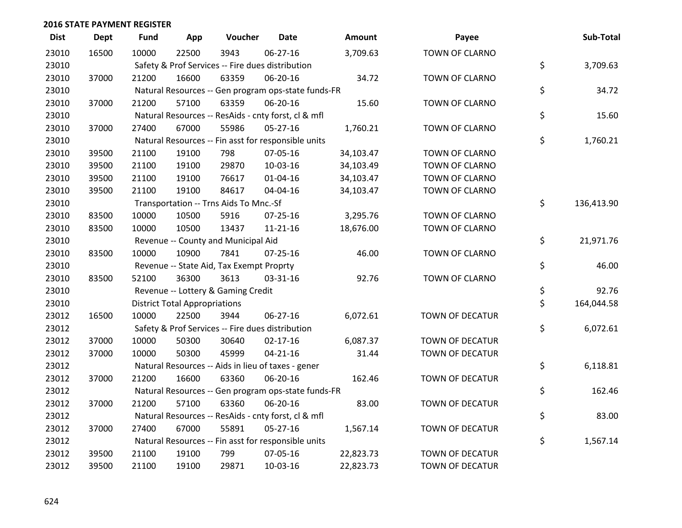| <b>Dist</b> | <b>Dept</b> | <b>Fund</b> | App                                  | Voucher                                          | <b>Date</b>                                         | Amount    | Payee                 | Sub-Total        |
|-------------|-------------|-------------|--------------------------------------|--------------------------------------------------|-----------------------------------------------------|-----------|-----------------------|------------------|
| 23010       | 16500       | 10000       | 22500                                | 3943                                             | 06-27-16                                            | 3,709.63  | TOWN OF CLARNO        |                  |
| 23010       |             |             |                                      | Safety & Prof Services -- Fire dues distribution |                                                     |           |                       | \$<br>3,709.63   |
| 23010       | 37000       | 21200       | 16600                                | 63359                                            | 06-20-16                                            | 34.72     | TOWN OF CLARNO        |                  |
| 23010       |             |             |                                      |                                                  | Natural Resources -- Gen program ops-state funds-FR |           |                       | \$<br>34.72      |
| 23010       | 37000       | 21200       | 57100                                | 63359                                            | 06-20-16                                            | 15.60     | TOWN OF CLARNO        |                  |
| 23010       |             |             |                                      |                                                  | Natural Resources -- ResAids - cnty forst, cl & mfl |           |                       | \$<br>15.60      |
| 23010       | 37000       | 27400       | 67000                                | 55986                                            | $05 - 27 - 16$                                      | 1,760.21  | TOWN OF CLARNO        |                  |
| 23010       |             |             |                                      |                                                  | Natural Resources -- Fin asst for responsible units |           |                       | \$<br>1,760.21   |
| 23010       | 39500       | 21100       | 19100                                | 798                                              | 07-05-16                                            | 34,103.47 | TOWN OF CLARNO        |                  |
| 23010       | 39500       | 21100       | 19100                                | 29870                                            | 10-03-16                                            | 34,103.49 | TOWN OF CLARNO        |                  |
| 23010       | 39500       | 21100       | 19100                                | 76617                                            | $01 - 04 - 16$                                      | 34,103.47 | TOWN OF CLARNO        |                  |
| 23010       | 39500       | 21100       | 19100                                | 84617                                            | 04-04-16                                            | 34,103.47 | TOWN OF CLARNO        |                  |
| 23010       |             |             |                                      | Transportation -- Trns Aids To Mnc.-Sf           |                                                     |           |                       | \$<br>136,413.90 |
| 23010       | 83500       | 10000       | 10500                                | 5916                                             | $07 - 25 - 16$                                      | 3,295.76  | TOWN OF CLARNO        |                  |
| 23010       | 83500       | 10000       | 10500                                | 13437                                            | $11 - 21 - 16$                                      | 18,676.00 | TOWN OF CLARNO        |                  |
| 23010       |             |             |                                      | Revenue -- County and Municipal Aid              |                                                     |           |                       | \$<br>21,971.76  |
| 23010       | 83500       | 10000       | 10900                                | 7841                                             | $07 - 25 - 16$                                      | 46.00     | TOWN OF CLARNO        |                  |
| 23010       |             |             |                                      | Revenue -- State Aid, Tax Exempt Proprty         |                                                     |           |                       | \$<br>46.00      |
| 23010       | 83500       | 52100       | 36300                                | 3613                                             | 03-31-16                                            | 92.76     | <b>TOWN OF CLARNO</b> |                  |
| 23010       |             |             |                                      | Revenue -- Lottery & Gaming Credit               |                                                     |           |                       | \$<br>92.76      |
| 23010       |             |             | <b>District Total Appropriations</b> |                                                  |                                                     |           |                       | \$<br>164,044.58 |
| 23012       | 16500       | 10000       | 22500                                | 3944                                             | 06-27-16                                            | 6,072.61  | TOWN OF DECATUR       |                  |
| 23012       |             |             |                                      | Safety & Prof Services -- Fire dues distribution |                                                     |           |                       | \$<br>6,072.61   |
| 23012       | 37000       | 10000       | 50300                                | 30640                                            | $02 - 17 - 16$                                      | 6,087.37  | TOWN OF DECATUR       |                  |
| 23012       | 37000       | 10000       | 50300                                | 45999                                            | $04 - 21 - 16$                                      | 31.44     | TOWN OF DECATUR       |                  |
| 23012       |             |             |                                      |                                                  | Natural Resources -- Aids in lieu of taxes - gener  |           |                       | \$<br>6,118.81   |
| 23012       | 37000       | 21200       | 16600                                | 63360                                            | 06-20-16                                            | 162.46    | TOWN OF DECATUR       |                  |
| 23012       |             |             |                                      |                                                  | Natural Resources -- Gen program ops-state funds-FR |           |                       | \$<br>162.46     |
| 23012       | 37000       | 21200       | 57100                                | 63360                                            | 06-20-16                                            | 83.00     | TOWN OF DECATUR       |                  |
| 23012       |             |             |                                      |                                                  | Natural Resources -- ResAids - cnty forst, cl & mfl |           |                       | \$<br>83.00      |
| 23012       | 37000       | 27400       | 67000                                | 55891                                            | $05 - 27 - 16$                                      | 1,567.14  | TOWN OF DECATUR       |                  |
| 23012       |             |             |                                      |                                                  | Natural Resources -- Fin asst for responsible units |           |                       | \$<br>1,567.14   |
| 23012       | 39500       | 21100       | 19100                                | 799                                              | 07-05-16                                            | 22,823.73 | TOWN OF DECATUR       |                  |
| 23012       | 39500       | 21100       | 19100                                | 29871                                            | 10-03-16                                            | 22,823.73 | TOWN OF DECATUR       |                  |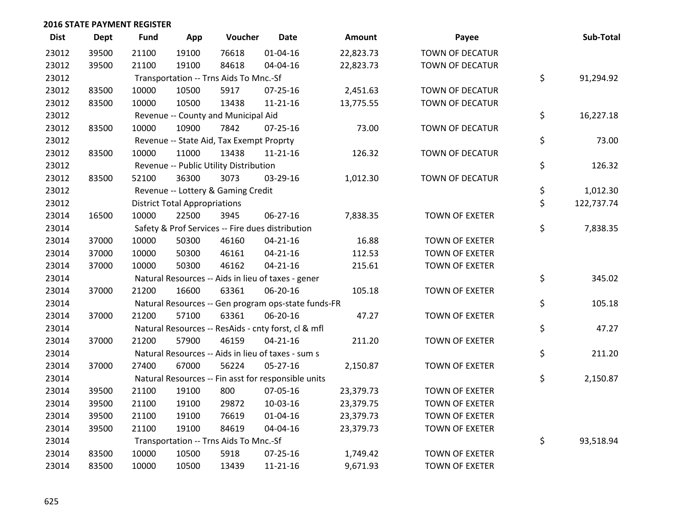| <b>Dist</b> | <b>Dept</b> | <b>Fund</b> | App                                  | Voucher                                             | <b>Date</b>    | Amount    | Payee                 | Sub-Total        |
|-------------|-------------|-------------|--------------------------------------|-----------------------------------------------------|----------------|-----------|-----------------------|------------------|
| 23012       | 39500       | 21100       | 19100                                | 76618                                               | $01 - 04 - 16$ | 22,823.73 | TOWN OF DECATUR       |                  |
| 23012       | 39500       | 21100       | 19100                                | 84618                                               | 04-04-16       | 22,823.73 | TOWN OF DECATUR       |                  |
| 23012       |             |             |                                      | Transportation -- Trns Aids To Mnc.-Sf              |                |           |                       | \$<br>91,294.92  |
| 23012       | 83500       | 10000       | 10500                                | 5917                                                | $07 - 25 - 16$ | 2,451.63  | TOWN OF DECATUR       |                  |
| 23012       | 83500       | 10000       | 10500                                | 13438                                               | $11 - 21 - 16$ | 13,775.55 | TOWN OF DECATUR       |                  |
| 23012       |             |             |                                      | Revenue -- County and Municipal Aid                 |                |           |                       | \$<br>16,227.18  |
| 23012       | 83500       | 10000       | 10900                                | 7842                                                | $07 - 25 - 16$ | 73.00     | TOWN OF DECATUR       |                  |
| 23012       |             |             |                                      | Revenue -- State Aid, Tax Exempt Proprty            |                |           |                       | \$<br>73.00      |
| 23012       | 83500       | 10000       | 11000                                | 13438                                               | $11 - 21 - 16$ | 126.32    | TOWN OF DECATUR       |                  |
| 23012       |             |             |                                      | Revenue -- Public Utility Distribution              |                |           |                       | \$<br>126.32     |
| 23012       | 83500       | 52100       | 36300                                | 3073                                                | 03-29-16       | 1,012.30  | TOWN OF DECATUR       |                  |
| 23012       |             |             |                                      | Revenue -- Lottery & Gaming Credit                  |                |           |                       | \$<br>1,012.30   |
| 23012       |             |             | <b>District Total Appropriations</b> |                                                     |                |           |                       | \$<br>122,737.74 |
| 23014       | 16500       | 10000       | 22500                                | 3945                                                | 06-27-16       | 7,838.35  | <b>TOWN OF EXETER</b> |                  |
| 23014       |             |             |                                      | Safety & Prof Services -- Fire dues distribution    |                |           |                       | \$<br>7,838.35   |
| 23014       | 37000       | 10000       | 50300                                | 46160                                               | $04 - 21 - 16$ | 16.88     | <b>TOWN OF EXETER</b> |                  |
| 23014       | 37000       | 10000       | 50300                                | 46161                                               | $04 - 21 - 16$ | 112.53    | <b>TOWN OF EXETER</b> |                  |
| 23014       | 37000       | 10000       | 50300                                | 46162                                               | $04 - 21 - 16$ | 215.61    | <b>TOWN OF EXETER</b> |                  |
| 23014       |             |             |                                      | Natural Resources -- Aids in lieu of taxes - gener  |                |           |                       | \$<br>345.02     |
| 23014       | 37000       | 21200       | 16600                                | 63361                                               | 06-20-16       | 105.18    | <b>TOWN OF EXETER</b> |                  |
| 23014       |             |             |                                      | Natural Resources -- Gen program ops-state funds-FR |                |           |                       | \$<br>105.18     |
| 23014       | 37000       | 21200       | 57100                                | 63361                                               | 06-20-16       | 47.27     | <b>TOWN OF EXETER</b> |                  |
| 23014       |             |             |                                      | Natural Resources -- ResAids - cnty forst, cl & mfl |                |           |                       | \$<br>47.27      |
| 23014       | 37000       | 21200       | 57900                                | 46159                                               | $04 - 21 - 16$ | 211.20    | <b>TOWN OF EXETER</b> |                  |
| 23014       |             |             |                                      | Natural Resources -- Aids in lieu of taxes - sum s  |                |           |                       | \$<br>211.20     |
| 23014       | 37000       | 27400       | 67000                                | 56224                                               | $05 - 27 - 16$ | 2,150.87  | <b>TOWN OF EXETER</b> |                  |
| 23014       |             |             |                                      | Natural Resources -- Fin asst for responsible units |                |           |                       | \$<br>2,150.87   |
| 23014       | 39500       | 21100       | 19100                                | 800                                                 | 07-05-16       | 23,379.73 | <b>TOWN OF EXETER</b> |                  |
| 23014       | 39500       | 21100       | 19100                                | 29872                                               | 10-03-16       | 23,379.75 | <b>TOWN OF EXETER</b> |                  |
| 23014       | 39500       | 21100       | 19100                                | 76619                                               | $01 - 04 - 16$ | 23,379.73 | <b>TOWN OF EXETER</b> |                  |
| 23014       | 39500       | 21100       | 19100                                | 84619                                               | 04-04-16       | 23,379.73 | <b>TOWN OF EXETER</b> |                  |
| 23014       |             |             |                                      | Transportation -- Trns Aids To Mnc.-Sf              |                |           |                       | \$<br>93,518.94  |
| 23014       | 83500       | 10000       | 10500                                | 5918                                                | $07 - 25 - 16$ | 1,749.42  | <b>TOWN OF EXETER</b> |                  |
| 23014       | 83500       | 10000       | 10500                                | 13439                                               | $11 - 21 - 16$ | 9,671.93  | <b>TOWN OF EXETER</b> |                  |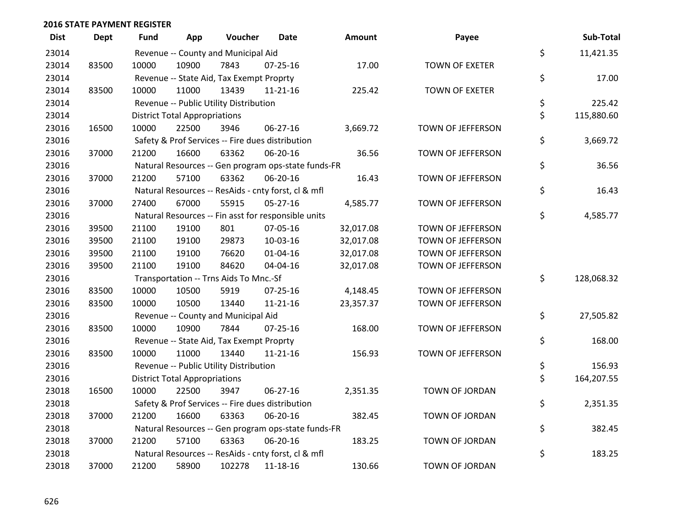| <b>Dist</b> | Dept  | Fund  | App                                  | Voucher                                             | Date           | <b>Amount</b> | Payee                 | Sub-Total        |
|-------------|-------|-------|--------------------------------------|-----------------------------------------------------|----------------|---------------|-----------------------|------------------|
| 23014       |       |       |                                      | Revenue -- County and Municipal Aid                 |                |               |                       | \$<br>11,421.35  |
| 23014       | 83500 | 10000 | 10900                                | 7843                                                | 07-25-16       | 17.00         | <b>TOWN OF EXETER</b> |                  |
| 23014       |       |       |                                      | Revenue -- State Aid, Tax Exempt Proprty            |                |               |                       | \$<br>17.00      |
| 23014       | 83500 | 10000 | 11000                                | 13439                                               | $11 - 21 - 16$ | 225.42        | <b>TOWN OF EXETER</b> |                  |
| 23014       |       |       |                                      | Revenue -- Public Utility Distribution              |                |               |                       | \$<br>225.42     |
| 23014       |       |       | <b>District Total Appropriations</b> |                                                     |                |               |                       | \$<br>115,880.60 |
| 23016       | 16500 | 10000 | 22500                                | 3946                                                | 06-27-16       | 3,669.72      | TOWN OF JEFFERSON     |                  |
| 23016       |       |       |                                      | Safety & Prof Services -- Fire dues distribution    |                |               |                       | \$<br>3,669.72   |
| 23016       | 37000 | 21200 | 16600                                | 63362                                               | 06-20-16       | 36.56         | TOWN OF JEFFERSON     |                  |
| 23016       |       |       |                                      | Natural Resources -- Gen program ops-state funds-FR |                |               |                       | \$<br>36.56      |
| 23016       | 37000 | 21200 | 57100                                | 63362                                               | 06-20-16       | 16.43         | TOWN OF JEFFERSON     |                  |
| 23016       |       |       |                                      | Natural Resources -- ResAids - cnty forst, cl & mfl |                |               |                       | \$<br>16.43      |
| 23016       | 37000 | 27400 | 67000                                | 55915                                               | $05 - 27 - 16$ | 4,585.77      | TOWN OF JEFFERSON     |                  |
| 23016       |       |       |                                      | Natural Resources -- Fin asst for responsible units |                |               |                       | \$<br>4,585.77   |
| 23016       | 39500 | 21100 | 19100                                | 801                                                 | 07-05-16       | 32,017.08     | TOWN OF JEFFERSON     |                  |
| 23016       | 39500 | 21100 | 19100                                | 29873                                               | 10-03-16       | 32,017.08     | TOWN OF JEFFERSON     |                  |
| 23016       | 39500 | 21100 | 19100                                | 76620                                               | 01-04-16       | 32,017.08     | TOWN OF JEFFERSON     |                  |
| 23016       | 39500 | 21100 | 19100                                | 84620                                               | 04-04-16       | 32,017.08     | TOWN OF JEFFERSON     |                  |
| 23016       |       |       |                                      | Transportation -- Trns Aids To Mnc.-Sf              |                |               |                       | \$<br>128,068.32 |
| 23016       | 83500 | 10000 | 10500                                | 5919                                                | 07-25-16       | 4,148.45      | TOWN OF JEFFERSON     |                  |
| 23016       | 83500 | 10000 | 10500                                | 13440                                               | $11 - 21 - 16$ | 23,357.37     | TOWN OF JEFFERSON     |                  |
| 23016       |       |       |                                      | Revenue -- County and Municipal Aid                 |                |               |                       | \$<br>27,505.82  |
| 23016       | 83500 | 10000 | 10900                                | 7844                                                | $07 - 25 - 16$ | 168.00        | TOWN OF JEFFERSON     |                  |
| 23016       |       |       |                                      | Revenue -- State Aid, Tax Exempt Proprty            |                |               |                       | \$<br>168.00     |
| 23016       | 83500 | 10000 | 11000                                | 13440                                               | $11 - 21 - 16$ | 156.93        | TOWN OF JEFFERSON     |                  |
| 23016       |       |       |                                      | Revenue -- Public Utility Distribution              |                |               |                       | \$<br>156.93     |
| 23016       |       |       | <b>District Total Appropriations</b> |                                                     |                |               |                       | \$<br>164,207.55 |
| 23018       | 16500 | 10000 | 22500                                | 3947                                                | $06 - 27 - 16$ | 2,351.35      | TOWN OF JORDAN        |                  |
| 23018       |       |       |                                      | Safety & Prof Services -- Fire dues distribution    |                |               |                       | \$<br>2,351.35   |
| 23018       | 37000 | 21200 | 16600                                | 63363                                               | 06-20-16       | 382.45        | TOWN OF JORDAN        |                  |
| 23018       |       |       |                                      | Natural Resources -- Gen program ops-state funds-FR |                |               |                       | \$<br>382.45     |
| 23018       | 37000 | 21200 | 57100                                | 63363                                               | 06-20-16       | 183.25        | TOWN OF JORDAN        |                  |
| 23018       |       |       |                                      | Natural Resources -- ResAids - cnty forst, cl & mfl |                |               |                       | \$<br>183.25     |
| 23018       | 37000 | 21200 | 58900                                | 102278                                              | 11-18-16       | 130.66        | TOWN OF JORDAN        |                  |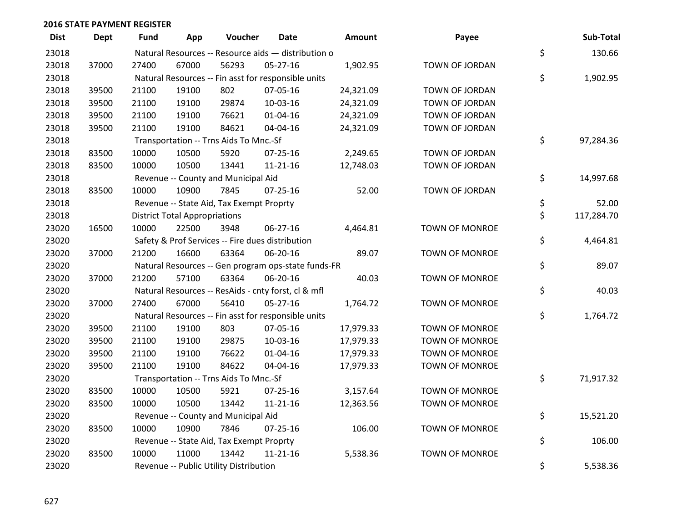| <b>Dist</b> | <b>Dept</b> | <b>Fund</b> | App                                  | Voucher                                             | Date           | Amount    | Payee                 | Sub-Total        |
|-------------|-------------|-------------|--------------------------------------|-----------------------------------------------------|----------------|-----------|-----------------------|------------------|
| 23018       |             |             |                                      | Natural Resources -- Resource aids - distribution o |                |           |                       | \$<br>130.66     |
| 23018       | 37000       | 27400       | 67000                                | 56293                                               | $05 - 27 - 16$ | 1,902.95  | TOWN OF JORDAN        |                  |
| 23018       |             |             |                                      | Natural Resources -- Fin asst for responsible units |                |           |                       | \$<br>1,902.95   |
| 23018       | 39500       | 21100       | 19100                                | 802                                                 | 07-05-16       | 24,321.09 | TOWN OF JORDAN        |                  |
| 23018       | 39500       | 21100       | 19100                                | 29874                                               | 10-03-16       | 24,321.09 | TOWN OF JORDAN        |                  |
| 23018       | 39500       | 21100       | 19100                                | 76621                                               | $01 - 04 - 16$ | 24,321.09 | TOWN OF JORDAN        |                  |
| 23018       | 39500       | 21100       | 19100                                | 84621                                               | 04-04-16       | 24,321.09 | TOWN OF JORDAN        |                  |
| 23018       |             |             |                                      | Transportation -- Trns Aids To Mnc.-Sf              |                |           |                       | \$<br>97,284.36  |
| 23018       | 83500       | 10000       | 10500                                | 5920                                                | $07 - 25 - 16$ | 2,249.65  | TOWN OF JORDAN        |                  |
| 23018       | 83500       | 10000       | 10500                                | 13441                                               | $11 - 21 - 16$ | 12,748.03 | TOWN OF JORDAN        |                  |
| 23018       |             |             |                                      | Revenue -- County and Municipal Aid                 |                |           |                       | \$<br>14,997.68  |
| 23018       | 83500       | 10000       | 10900                                | 7845                                                | $07 - 25 - 16$ | 52.00     | TOWN OF JORDAN        |                  |
| 23018       |             |             |                                      | Revenue -- State Aid, Tax Exempt Proprty            |                |           |                       | \$<br>52.00      |
| 23018       |             |             | <b>District Total Appropriations</b> |                                                     |                |           |                       | \$<br>117,284.70 |
| 23020       | 16500       | 10000       | 22500                                | 3948                                                | 06-27-16       | 4,464.81  | <b>TOWN OF MONROE</b> |                  |
| 23020       |             |             |                                      | Safety & Prof Services -- Fire dues distribution    |                |           |                       | \$<br>4,464.81   |
| 23020       | 37000       | 21200       | 16600                                | 63364                                               | 06-20-16       | 89.07     | TOWN OF MONROE        |                  |
| 23020       |             |             |                                      | Natural Resources -- Gen program ops-state funds-FR |                |           |                       | \$<br>89.07      |
| 23020       | 37000       | 21200       | 57100                                | 63364                                               | 06-20-16       | 40.03     | <b>TOWN OF MONROE</b> |                  |
| 23020       |             |             |                                      | Natural Resources -- ResAids - cnty forst, cl & mfl |                |           |                       | \$<br>40.03      |
| 23020       | 37000       | 27400       | 67000                                | 56410                                               | 05-27-16       | 1,764.72  | TOWN OF MONROE        |                  |
| 23020       |             |             |                                      | Natural Resources -- Fin asst for responsible units |                |           |                       | \$<br>1,764.72   |
| 23020       | 39500       | 21100       | 19100                                | 803                                                 | 07-05-16       | 17,979.33 | <b>TOWN OF MONROE</b> |                  |
| 23020       | 39500       | 21100       | 19100                                | 29875                                               | 10-03-16       | 17,979.33 | <b>TOWN OF MONROE</b> |                  |
| 23020       | 39500       | 21100       | 19100                                | 76622                                               | $01 - 04 - 16$ | 17,979.33 | TOWN OF MONROE        |                  |
| 23020       | 39500       | 21100       | 19100                                | 84622                                               | 04-04-16       | 17,979.33 | TOWN OF MONROE        |                  |
| 23020       |             |             |                                      | Transportation -- Trns Aids To Mnc.-Sf              |                |           |                       | \$<br>71,917.32  |
| 23020       | 83500       | 10000       | 10500                                | 5921                                                | 07-25-16       | 3,157.64  | <b>TOWN OF MONROE</b> |                  |
| 23020       | 83500       | 10000       | 10500                                | 13442                                               | $11 - 21 - 16$ | 12,363.56 | TOWN OF MONROE        |                  |
| 23020       |             |             |                                      | Revenue -- County and Municipal Aid                 |                |           |                       | \$<br>15,521.20  |
| 23020       | 83500       | 10000       | 10900                                | 7846                                                | $07 - 25 - 16$ | 106.00    | <b>TOWN OF MONROE</b> |                  |
| 23020       |             |             |                                      | Revenue -- State Aid, Tax Exempt Proprty            |                |           |                       | \$<br>106.00     |
| 23020       | 83500       | 10000       | 11000                                | 13442                                               | $11 - 21 - 16$ | 5,538.36  | <b>TOWN OF MONROE</b> |                  |
| 23020       |             |             |                                      | Revenue -- Public Utility Distribution              |                |           |                       | \$<br>5,538.36   |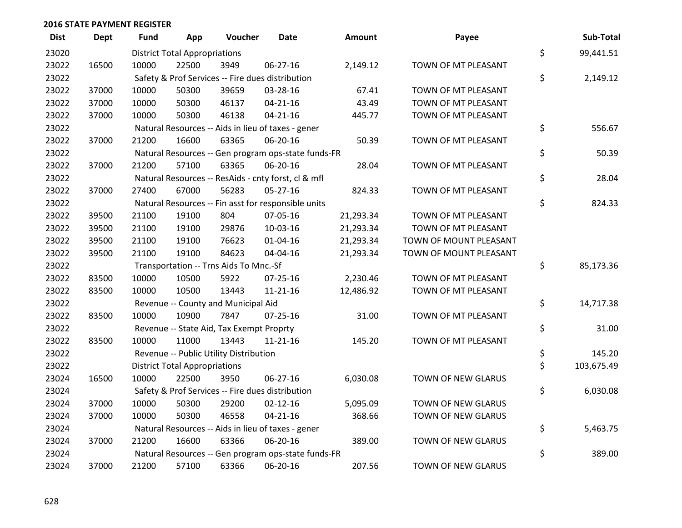| <b>Dist</b> | <b>Dept</b> | <b>Fund</b> | App                                  | Voucher                                  | Date                                                | Amount    | Payee                     | Sub-Total        |
|-------------|-------------|-------------|--------------------------------------|------------------------------------------|-----------------------------------------------------|-----------|---------------------------|------------------|
| 23020       |             |             | <b>District Total Appropriations</b> |                                          |                                                     |           |                           | \$<br>99,441.51  |
| 23022       | 16500       | 10000       | 22500                                | 3949                                     | 06-27-16                                            | 2,149.12  | TOWN OF MT PLEASANT       |                  |
| 23022       |             |             |                                      |                                          | Safety & Prof Services -- Fire dues distribution    |           |                           | \$<br>2,149.12   |
| 23022       | 37000       | 10000       | 50300                                | 39659                                    | 03-28-16                                            | 67.41     | TOWN OF MT PLEASANT       |                  |
| 23022       | 37000       | 10000       | 50300                                | 46137                                    | $04 - 21 - 16$                                      | 43.49     | TOWN OF MT PLEASANT       |                  |
| 23022       | 37000       | 10000       | 50300                                | 46138                                    | $04 - 21 - 16$                                      | 445.77    | TOWN OF MT PLEASANT       |                  |
| 23022       |             |             |                                      |                                          | Natural Resources -- Aids in lieu of taxes - gener  |           |                           | \$<br>556.67     |
| 23022       | 37000       | 21200       | 16600                                | 63365                                    | 06-20-16                                            | 50.39     | TOWN OF MT PLEASANT       |                  |
| 23022       |             |             |                                      |                                          | Natural Resources -- Gen program ops-state funds-FR |           |                           | \$<br>50.39      |
| 23022       | 37000       | 21200       | 57100                                | 63365                                    | 06-20-16                                            | 28.04     | TOWN OF MT PLEASANT       |                  |
| 23022       |             |             |                                      |                                          | Natural Resources -- ResAids - cnty forst, cl & mfl |           |                           | \$<br>28.04      |
| 23022       | 37000       | 27400       | 67000                                | 56283                                    | $05 - 27 - 16$                                      | 824.33    | TOWN OF MT PLEASANT       |                  |
| 23022       |             |             |                                      |                                          | Natural Resources -- Fin asst for responsible units |           |                           | \$<br>824.33     |
| 23022       | 39500       | 21100       | 19100                                | 804                                      | 07-05-16                                            | 21,293.34 | TOWN OF MT PLEASANT       |                  |
| 23022       | 39500       | 21100       | 19100                                | 29876                                    | 10-03-16                                            | 21,293.34 | TOWN OF MT PLEASANT       |                  |
| 23022       | 39500       | 21100       | 19100                                | 76623                                    | $01 - 04 - 16$                                      | 21,293.34 | TOWN OF MOUNT PLEASANT    |                  |
| 23022       | 39500       | 21100       | 19100                                | 84623                                    | 04-04-16                                            | 21,293.34 | TOWN OF MOUNT PLEASANT    |                  |
| 23022       |             |             |                                      | Transportation -- Trns Aids To Mnc.-Sf   |                                                     |           |                           | \$<br>85,173.36  |
| 23022       | 83500       | 10000       | 10500                                | 5922                                     | $07 - 25 - 16$                                      | 2,230.46  | TOWN OF MT PLEASANT       |                  |
| 23022       | 83500       | 10000       | 10500                                | 13443                                    | $11 - 21 - 16$                                      | 12,486.92 | TOWN OF MT PLEASANT       |                  |
| 23022       |             |             |                                      | Revenue -- County and Municipal Aid      |                                                     |           |                           | \$<br>14,717.38  |
| 23022       | 83500       | 10000       | 10900                                | 7847                                     | $07 - 25 - 16$                                      | 31.00     | TOWN OF MT PLEASANT       |                  |
| 23022       |             |             |                                      | Revenue -- State Aid, Tax Exempt Proprty |                                                     |           |                           | \$<br>31.00      |
| 23022       | 83500       | 10000       | 11000                                | 13443                                    | $11 - 21 - 16$                                      | 145.20    | TOWN OF MT PLEASANT       |                  |
| 23022       |             |             |                                      | Revenue -- Public Utility Distribution   |                                                     |           |                           | \$<br>145.20     |
| 23022       |             |             | <b>District Total Appropriations</b> |                                          |                                                     |           |                           | \$<br>103,675.49 |
| 23024       | 16500       | 10000       | 22500                                | 3950                                     | 06-27-16                                            | 6,030.08  | TOWN OF NEW GLARUS        |                  |
| 23024       |             |             |                                      |                                          | Safety & Prof Services -- Fire dues distribution    |           |                           | \$<br>6,030.08   |
| 23024       | 37000       | 10000       | 50300                                | 29200                                    | $02 - 12 - 16$                                      | 5,095.09  | TOWN OF NEW GLARUS        |                  |
| 23024       | 37000       | 10000       | 50300                                | 46558                                    | $04 - 21 - 16$                                      | 368.66    | TOWN OF NEW GLARUS        |                  |
| 23024       |             |             |                                      |                                          | Natural Resources -- Aids in lieu of taxes - gener  |           |                           | \$<br>5,463.75   |
| 23024       | 37000       | 21200       | 16600                                | 63366                                    | 06-20-16                                            | 389.00    | TOWN OF NEW GLARUS        |                  |
| 23024       |             |             |                                      |                                          | Natural Resources -- Gen program ops-state funds-FR |           |                           | \$<br>389.00     |
| 23024       | 37000       | 21200       | 57100                                | 63366                                    | 06-20-16                                            | 207.56    | <b>TOWN OF NEW GLARUS</b> |                  |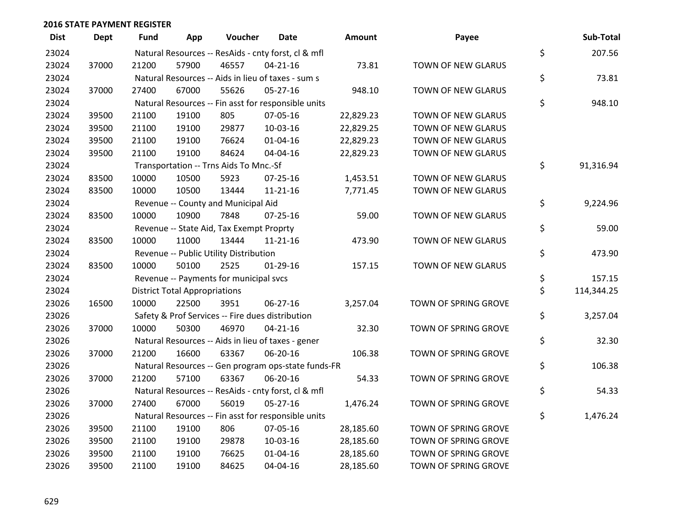| <b>Dist</b> | <b>Dept</b> | <b>Fund</b> | App                                  | Voucher                                  | Date                                                | <b>Amount</b> | Payee                | Sub-Total        |
|-------------|-------------|-------------|--------------------------------------|------------------------------------------|-----------------------------------------------------|---------------|----------------------|------------------|
| 23024       |             |             |                                      |                                          | Natural Resources -- ResAids - cnty forst, cl & mfl |               |                      | \$<br>207.56     |
| 23024       | 37000       | 21200       | 57900                                | 46557                                    | $04 - 21 - 16$                                      | 73.81         | TOWN OF NEW GLARUS   |                  |
| 23024       |             |             |                                      |                                          | Natural Resources -- Aids in lieu of taxes - sum s  |               |                      | \$<br>73.81      |
| 23024       | 37000       | 27400       | 67000                                | 55626                                    | 05-27-16                                            | 948.10        | TOWN OF NEW GLARUS   |                  |
| 23024       |             |             |                                      |                                          | Natural Resources -- Fin asst for responsible units |               |                      | \$<br>948.10     |
| 23024       | 39500       | 21100       | 19100                                | 805                                      | 07-05-16                                            | 22,829.23     | TOWN OF NEW GLARUS   |                  |
| 23024       | 39500       | 21100       | 19100                                | 29877                                    | 10-03-16                                            | 22,829.25     | TOWN OF NEW GLARUS   |                  |
| 23024       | 39500       | 21100       | 19100                                | 76624                                    | $01 - 04 - 16$                                      | 22,829.23     | TOWN OF NEW GLARUS   |                  |
| 23024       | 39500       | 21100       | 19100                                | 84624                                    | 04-04-16                                            | 22,829.23     | TOWN OF NEW GLARUS   |                  |
| 23024       |             |             |                                      | Transportation -- Trns Aids To Mnc.-Sf   |                                                     |               |                      | \$<br>91,316.94  |
| 23024       | 83500       | 10000       | 10500                                | 5923                                     | $07 - 25 - 16$                                      | 1,453.51      | TOWN OF NEW GLARUS   |                  |
| 23024       | 83500       | 10000       | 10500                                | 13444                                    | $11 - 21 - 16$                                      | 7,771.45      | TOWN OF NEW GLARUS   |                  |
| 23024       |             |             |                                      | Revenue -- County and Municipal Aid      |                                                     |               |                      | \$<br>9,224.96   |
| 23024       | 83500       | 10000       | 10900                                | 7848                                     | $07 - 25 - 16$                                      | 59.00         | TOWN OF NEW GLARUS   |                  |
| 23024       |             |             |                                      | Revenue -- State Aid, Tax Exempt Proprty |                                                     |               |                      | \$<br>59.00      |
| 23024       | 83500       | 10000       | 11000                                | 13444                                    | $11 - 21 - 16$                                      | 473.90        | TOWN OF NEW GLARUS   |                  |
| 23024       |             |             |                                      | Revenue -- Public Utility Distribution   |                                                     |               |                      | \$<br>473.90     |
| 23024       | 83500       | 10000       | 50100                                | 2525                                     | $01-29-16$                                          | 157.15        | TOWN OF NEW GLARUS   |                  |
| 23024       |             |             |                                      | Revenue -- Payments for municipal svcs   |                                                     |               |                      | \$<br>157.15     |
| 23024       |             |             | <b>District Total Appropriations</b> |                                          |                                                     |               |                      | \$<br>114,344.25 |
| 23026       | 16500       | 10000       | 22500                                | 3951                                     | 06-27-16                                            | 3,257.04      | TOWN OF SPRING GROVE |                  |
| 23026       |             |             |                                      |                                          | Safety & Prof Services -- Fire dues distribution    |               |                      | \$<br>3,257.04   |
| 23026       | 37000       | 10000       | 50300                                | 46970                                    | $04 - 21 - 16$                                      | 32.30         | TOWN OF SPRING GROVE |                  |
| 23026       |             |             |                                      |                                          | Natural Resources -- Aids in lieu of taxes - gener  |               |                      | \$<br>32.30      |
| 23026       | 37000       | 21200       | 16600                                | 63367                                    | 06-20-16                                            | 106.38        | TOWN OF SPRING GROVE |                  |
| 23026       |             |             |                                      |                                          | Natural Resources -- Gen program ops-state funds-FR |               |                      | \$<br>106.38     |
| 23026       | 37000       | 21200       | 57100                                | 63367                                    | 06-20-16                                            | 54.33         | TOWN OF SPRING GROVE |                  |
| 23026       |             |             |                                      |                                          | Natural Resources -- ResAids - cnty forst, cl & mfl |               |                      | \$<br>54.33      |
| 23026       | 37000       | 27400       | 67000                                | 56019                                    | $05 - 27 - 16$                                      | 1,476.24      | TOWN OF SPRING GROVE |                  |
| 23026       |             |             |                                      |                                          | Natural Resources -- Fin asst for responsible units |               |                      | \$<br>1,476.24   |
| 23026       | 39500       | 21100       | 19100                                | 806                                      | 07-05-16                                            | 28,185.60     | TOWN OF SPRING GROVE |                  |
| 23026       | 39500       | 21100       | 19100                                | 29878                                    | 10-03-16                                            | 28,185.60     | TOWN OF SPRING GROVE |                  |
| 23026       | 39500       | 21100       | 19100                                | 76625                                    | $01 - 04 - 16$                                      | 28,185.60     | TOWN OF SPRING GROVE |                  |
| 23026       | 39500       | 21100       | 19100                                | 84625                                    | 04-04-16                                            | 28,185.60     | TOWN OF SPRING GROVE |                  |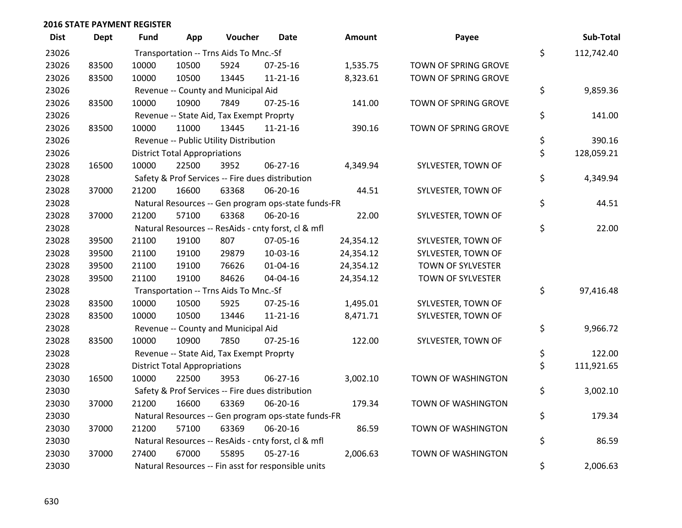| <b>Dist</b> | <b>Dept</b> | <b>Fund</b> | App                                  | Voucher                                  | Date                                                | <b>Amount</b> | Payee                    | Sub-Total        |
|-------------|-------------|-------------|--------------------------------------|------------------------------------------|-----------------------------------------------------|---------------|--------------------------|------------------|
| 23026       |             |             |                                      | Transportation -- Trns Aids To Mnc.-Sf   |                                                     |               |                          | \$<br>112,742.40 |
| 23026       | 83500       | 10000       | 10500                                | 5924                                     | 07-25-16                                            | 1,535.75      | TOWN OF SPRING GROVE     |                  |
| 23026       | 83500       | 10000       | 10500                                | 13445                                    | $11 - 21 - 16$                                      | 8,323.61      | TOWN OF SPRING GROVE     |                  |
| 23026       |             |             |                                      | Revenue -- County and Municipal Aid      |                                                     |               |                          | \$<br>9,859.36   |
| 23026       | 83500       | 10000       | 10900                                | 7849                                     | $07 - 25 - 16$                                      | 141.00        | TOWN OF SPRING GROVE     |                  |
| 23026       |             |             |                                      | Revenue -- State Aid, Tax Exempt Proprty |                                                     |               |                          | \$<br>141.00     |
| 23026       | 83500       | 10000       | 11000                                | 13445                                    | $11 - 21 - 16$                                      | 390.16        | TOWN OF SPRING GROVE     |                  |
| 23026       |             |             |                                      | Revenue -- Public Utility Distribution   |                                                     |               |                          | \$<br>390.16     |
| 23026       |             |             | <b>District Total Appropriations</b> |                                          |                                                     |               |                          | \$<br>128,059.21 |
| 23028       | 16500       | 10000       | 22500                                | 3952                                     | 06-27-16                                            | 4,349.94      | SYLVESTER, TOWN OF       |                  |
| 23028       |             |             |                                      |                                          | Safety & Prof Services -- Fire dues distribution    |               |                          | \$<br>4,349.94   |
| 23028       | 37000       | 21200       | 16600                                | 63368                                    | 06-20-16                                            | 44.51         | SYLVESTER, TOWN OF       |                  |
| 23028       |             |             |                                      |                                          | Natural Resources -- Gen program ops-state funds-FR |               |                          | \$<br>44.51      |
| 23028       | 37000       | 21200       | 57100                                | 63368                                    | 06-20-16                                            | 22.00         | SYLVESTER, TOWN OF       |                  |
| 23028       |             |             |                                      |                                          | Natural Resources -- ResAids - cnty forst, cl & mfl |               |                          | \$<br>22.00      |
| 23028       | 39500       | 21100       | 19100                                | 807                                      | 07-05-16                                            | 24,354.12     | SYLVESTER, TOWN OF       |                  |
| 23028       | 39500       | 21100       | 19100                                | 29879                                    | 10-03-16                                            | 24,354.12     | SYLVESTER, TOWN OF       |                  |
| 23028       | 39500       | 21100       | 19100                                | 76626                                    | 01-04-16                                            | 24,354.12     | TOWN OF SYLVESTER        |                  |
| 23028       | 39500       | 21100       | 19100                                | 84626                                    | 04-04-16                                            | 24,354.12     | <b>TOWN OF SYLVESTER</b> |                  |
| 23028       |             |             |                                      | Transportation -- Trns Aids To Mnc.-Sf   |                                                     |               |                          | \$<br>97,416.48  |
| 23028       | 83500       | 10000       | 10500                                | 5925                                     | $07 - 25 - 16$                                      | 1,495.01      | SYLVESTER, TOWN OF       |                  |
| 23028       | 83500       | 10000       | 10500                                | 13446                                    | $11 - 21 - 16$                                      | 8,471.71      | SYLVESTER, TOWN OF       |                  |
| 23028       |             |             |                                      | Revenue -- County and Municipal Aid      |                                                     |               |                          | \$<br>9,966.72   |
| 23028       | 83500       | 10000       | 10900                                | 7850                                     | $07 - 25 - 16$                                      | 122.00        | SYLVESTER, TOWN OF       |                  |
| 23028       |             |             |                                      | Revenue -- State Aid, Tax Exempt Proprty |                                                     |               |                          | \$<br>122.00     |
| 23028       |             |             | <b>District Total Appropriations</b> |                                          |                                                     |               |                          | \$<br>111,921.65 |
| 23030       | 16500       | 10000       | 22500                                | 3953                                     | 06-27-16                                            | 3,002.10      | TOWN OF WASHINGTON       |                  |
| 23030       |             |             |                                      |                                          | Safety & Prof Services -- Fire dues distribution    |               |                          | \$<br>3,002.10   |
| 23030       | 37000       | 21200       | 16600                                | 63369                                    | 06-20-16                                            | 179.34        | TOWN OF WASHINGTON       |                  |
| 23030       |             |             |                                      |                                          | Natural Resources -- Gen program ops-state funds-FR |               |                          | \$<br>179.34     |
| 23030       | 37000       | 21200       | 57100                                | 63369                                    | 06-20-16                                            | 86.59         | TOWN OF WASHINGTON       |                  |
| 23030       |             |             |                                      |                                          | Natural Resources -- ResAids - cnty forst, cl & mfl |               |                          | \$<br>86.59      |
| 23030       | 37000       | 27400       | 67000                                | 55895                                    | $05 - 27 - 16$                                      | 2,006.63      | TOWN OF WASHINGTON       |                  |
| 23030       |             |             |                                      |                                          | Natural Resources -- Fin asst for responsible units |               |                          | \$<br>2,006.63   |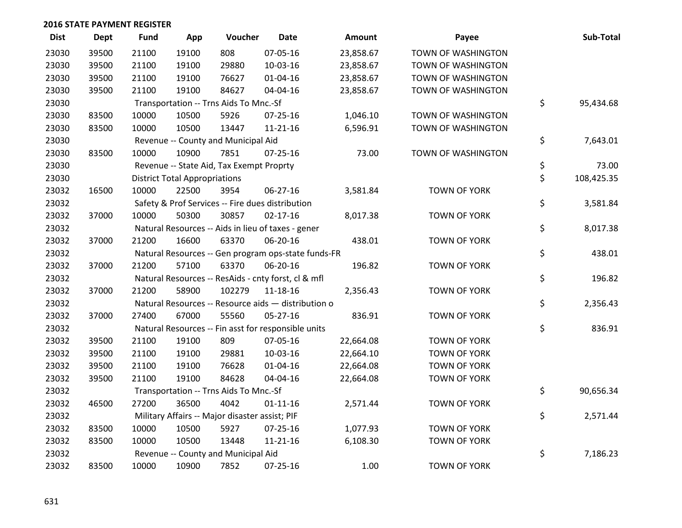| <b>Dist</b> | <b>Dept</b> | <b>Fund</b> | App                                  | Voucher                                        | Date                                                | Amount    | Payee               | Sub-Total        |
|-------------|-------------|-------------|--------------------------------------|------------------------------------------------|-----------------------------------------------------|-----------|---------------------|------------------|
| 23030       | 39500       | 21100       | 19100                                | 808                                            | 07-05-16                                            | 23,858.67 | TOWN OF WASHINGTON  |                  |
| 23030       | 39500       | 21100       | 19100                                | 29880                                          | 10-03-16                                            | 23,858.67 | TOWN OF WASHINGTON  |                  |
| 23030       | 39500       | 21100       | 19100                                | 76627                                          | $01 - 04 - 16$                                      | 23,858.67 | TOWN OF WASHINGTON  |                  |
| 23030       | 39500       | 21100       | 19100                                | 84627                                          | 04-04-16                                            | 23,858.67 | TOWN OF WASHINGTON  |                  |
| 23030       |             |             |                                      | Transportation -- Trns Aids To Mnc.-Sf         |                                                     |           |                     | \$<br>95,434.68  |
| 23030       | 83500       | 10000       | 10500                                | 5926                                           | 07-25-16                                            | 1,046.10  | TOWN OF WASHINGTON  |                  |
| 23030       | 83500       | 10000       | 10500                                | 13447                                          | 11-21-16                                            | 6,596.91  | TOWN OF WASHINGTON  |                  |
| 23030       |             |             |                                      | Revenue -- County and Municipal Aid            |                                                     |           |                     | \$<br>7,643.01   |
| 23030       | 83500       | 10000       | 10900                                | 7851                                           | $07 - 25 - 16$                                      | 73.00     | TOWN OF WASHINGTON  |                  |
| 23030       |             |             |                                      | Revenue -- State Aid, Tax Exempt Proprty       |                                                     |           |                     | \$<br>73.00      |
| 23030       |             |             | <b>District Total Appropriations</b> |                                                |                                                     |           |                     | \$<br>108,425.35 |
| 23032       | 16500       | 10000       | 22500                                | 3954                                           | 06-27-16                                            | 3,581.84  | TOWN OF YORK        |                  |
| 23032       |             |             |                                      |                                                | Safety & Prof Services -- Fire dues distribution    |           |                     | \$<br>3,581.84   |
| 23032       | 37000       | 10000       | 50300                                | 30857                                          | $02 - 17 - 16$                                      | 8,017.38  | <b>TOWN OF YORK</b> |                  |
| 23032       |             |             |                                      |                                                | Natural Resources -- Aids in lieu of taxes - gener  |           |                     | \$<br>8,017.38   |
| 23032       | 37000       | 21200       | 16600                                | 63370                                          | 06-20-16                                            | 438.01    | <b>TOWN OF YORK</b> |                  |
| 23032       |             |             |                                      |                                                | Natural Resources -- Gen program ops-state funds-FR |           |                     | \$<br>438.01     |
| 23032       | 37000       | 21200       | 57100                                | 63370                                          | 06-20-16                                            | 196.82    | <b>TOWN OF YORK</b> |                  |
| 23032       |             |             |                                      |                                                | Natural Resources -- ResAids - cnty forst, cl & mfl |           |                     | \$<br>196.82     |
| 23032       | 37000       | 21200       | 58900                                | 102279                                         | $11 - 18 - 16$                                      | 2,356.43  | <b>TOWN OF YORK</b> |                  |
| 23032       |             |             |                                      |                                                | Natural Resources -- Resource aids - distribution o |           |                     | \$<br>2,356.43   |
| 23032       | 37000       | 27400       | 67000                                | 55560                                          | $05 - 27 - 16$                                      | 836.91    | <b>TOWN OF YORK</b> |                  |
| 23032       |             |             |                                      |                                                | Natural Resources -- Fin asst for responsible units |           |                     | \$<br>836.91     |
| 23032       | 39500       | 21100       | 19100                                | 809                                            | 07-05-16                                            | 22,664.08 | <b>TOWN OF YORK</b> |                  |
| 23032       | 39500       | 21100       | 19100                                | 29881                                          | 10-03-16                                            | 22,664.10 | <b>TOWN OF YORK</b> |                  |
| 23032       | 39500       | 21100       | 19100                                | 76628                                          | $01 - 04 - 16$                                      | 22,664.08 | <b>TOWN OF YORK</b> |                  |
| 23032       | 39500       | 21100       | 19100                                | 84628                                          | 04-04-16                                            | 22,664.08 | TOWN OF YORK        |                  |
| 23032       |             |             |                                      | Transportation -- Trns Aids To Mnc.-Sf         |                                                     |           |                     | \$<br>90,656.34  |
| 23032       | 46500       | 27200       | 36500                                | 4042                                           | $01 - 11 - 16$                                      | 2,571.44  | <b>TOWN OF YORK</b> |                  |
| 23032       |             |             |                                      | Military Affairs -- Major disaster assist; PIF |                                                     |           |                     | \$<br>2,571.44   |
| 23032       | 83500       | 10000       | 10500                                | 5927                                           | 07-25-16                                            | 1,077.93  | <b>TOWN OF YORK</b> |                  |
| 23032       | 83500       | 10000       | 10500                                | 13448                                          | $11 - 21 - 16$                                      | 6,108.30  | TOWN OF YORK        |                  |
| 23032       |             |             |                                      | Revenue -- County and Municipal Aid            |                                                     |           |                     | \$<br>7,186.23   |
| 23032       | 83500       | 10000       | 10900                                | 7852                                           | $07 - 25 - 16$                                      | 1.00      | <b>TOWN OF YORK</b> |                  |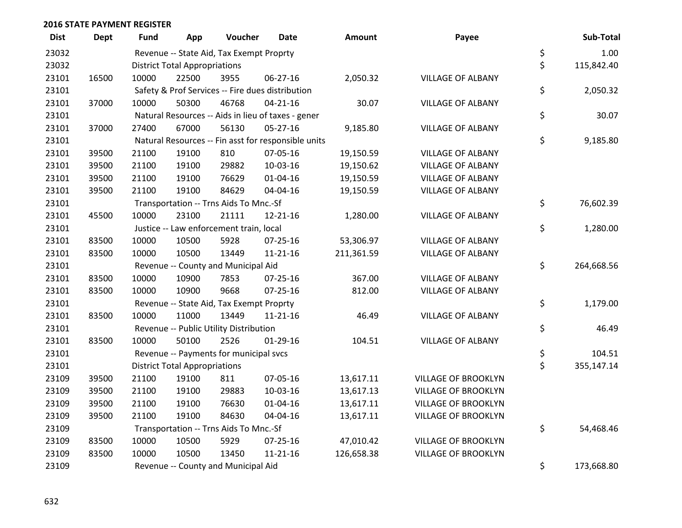| <b>Dist</b> | Dept  | <b>Fund</b> | App                                  | Voucher                                  | <b>Date</b>                                         | <b>Amount</b> | Payee                      | Sub-Total        |
|-------------|-------|-------------|--------------------------------------|------------------------------------------|-----------------------------------------------------|---------------|----------------------------|------------------|
| 23032       |       |             |                                      | Revenue -- State Aid, Tax Exempt Proprty |                                                     |               |                            | \$<br>1.00       |
| 23032       |       |             | <b>District Total Appropriations</b> |                                          |                                                     |               |                            | \$<br>115,842.40 |
| 23101       | 16500 | 10000       | 22500                                | 3955                                     | 06-27-16                                            | 2,050.32      | <b>VILLAGE OF ALBANY</b>   |                  |
| 23101       |       |             |                                      |                                          | Safety & Prof Services -- Fire dues distribution    |               |                            | \$<br>2,050.32   |
| 23101       | 37000 | 10000       | 50300                                | 46768                                    | $04 - 21 - 16$                                      | 30.07         | <b>VILLAGE OF ALBANY</b>   |                  |
| 23101       |       |             |                                      |                                          | Natural Resources -- Aids in lieu of taxes - gener  |               |                            | \$<br>30.07      |
| 23101       | 37000 | 27400       | 67000                                | 56130                                    | 05-27-16                                            | 9,185.80      | <b>VILLAGE OF ALBANY</b>   |                  |
| 23101       |       |             |                                      |                                          | Natural Resources -- Fin asst for responsible units |               |                            | \$<br>9,185.80   |
| 23101       | 39500 | 21100       | 19100                                | 810                                      | 07-05-16                                            | 19,150.59     | <b>VILLAGE OF ALBANY</b>   |                  |
| 23101       | 39500 | 21100       | 19100                                | 29882                                    | 10-03-16                                            | 19,150.62     | <b>VILLAGE OF ALBANY</b>   |                  |
| 23101       | 39500 | 21100       | 19100                                | 76629                                    | $01 - 04 - 16$                                      | 19,150.59     | <b>VILLAGE OF ALBANY</b>   |                  |
| 23101       | 39500 | 21100       | 19100                                | 84629                                    | 04-04-16                                            | 19,150.59     | <b>VILLAGE OF ALBANY</b>   |                  |
| 23101       |       |             |                                      | Transportation -- Trns Aids To Mnc.-Sf   |                                                     |               |                            | \$<br>76,602.39  |
| 23101       | 45500 | 10000       | 23100                                | 21111                                    | 12-21-16                                            | 1,280.00      | <b>VILLAGE OF ALBANY</b>   |                  |
| 23101       |       |             |                                      | Justice -- Law enforcement train, local  |                                                     |               |                            | \$<br>1,280.00   |
| 23101       | 83500 | 10000       | 10500                                | 5928                                     | 07-25-16                                            | 53,306.97     | <b>VILLAGE OF ALBANY</b>   |                  |
| 23101       | 83500 | 10000       | 10500                                | 13449                                    | 11-21-16                                            | 211,361.59    | <b>VILLAGE OF ALBANY</b>   |                  |
| 23101       |       |             |                                      | Revenue -- County and Municipal Aid      |                                                     |               |                            | \$<br>264,668.56 |
| 23101       | 83500 | 10000       | 10900                                | 7853                                     | 07-25-16                                            | 367.00        | <b>VILLAGE OF ALBANY</b>   |                  |
| 23101       | 83500 | 10000       | 10900                                | 9668                                     | 07-25-16                                            | 812.00        | <b>VILLAGE OF ALBANY</b>   |                  |
| 23101       |       |             |                                      | Revenue -- State Aid, Tax Exempt Proprty |                                                     |               |                            | \$<br>1,179.00   |
| 23101       | 83500 | 10000       | 11000                                | 13449                                    | 11-21-16                                            | 46.49         | <b>VILLAGE OF ALBANY</b>   |                  |
| 23101       |       |             |                                      | Revenue -- Public Utility Distribution   |                                                     |               |                            | \$<br>46.49      |
| 23101       | 83500 | 10000       | 50100                                | 2526                                     | $01-29-16$                                          | 104.51        | <b>VILLAGE OF ALBANY</b>   |                  |
| 23101       |       |             |                                      | Revenue -- Payments for municipal svcs   |                                                     |               |                            | \$<br>104.51     |
| 23101       |       |             | <b>District Total Appropriations</b> |                                          |                                                     |               |                            | \$<br>355,147.14 |
| 23109       | 39500 | 21100       | 19100                                | 811                                      | 07-05-16                                            | 13,617.11     | <b>VILLAGE OF BROOKLYN</b> |                  |
| 23109       | 39500 | 21100       | 19100                                | 29883                                    | 10-03-16                                            | 13,617.13     | <b>VILLAGE OF BROOKLYN</b> |                  |
| 23109       | 39500 | 21100       | 19100                                | 76630                                    | $01 - 04 - 16$                                      | 13,617.11     | <b>VILLAGE OF BROOKLYN</b> |                  |
| 23109       | 39500 | 21100       | 19100                                | 84630                                    | 04-04-16                                            | 13,617.11     | <b>VILLAGE OF BROOKLYN</b> |                  |
| 23109       |       |             |                                      | Transportation -- Trns Aids To Mnc.-Sf   |                                                     |               |                            | \$<br>54,468.46  |
| 23109       | 83500 | 10000       | 10500                                | 5929                                     | $07 - 25 - 16$                                      | 47,010.42     | <b>VILLAGE OF BROOKLYN</b> |                  |
| 23109       | 83500 | 10000       | 10500                                | 13450                                    | $11 - 21 - 16$                                      | 126,658.38    | <b>VILLAGE OF BROOKLYN</b> |                  |
| 23109       |       |             |                                      | Revenue -- County and Municipal Aid      |                                                     |               |                            | \$<br>173,668.80 |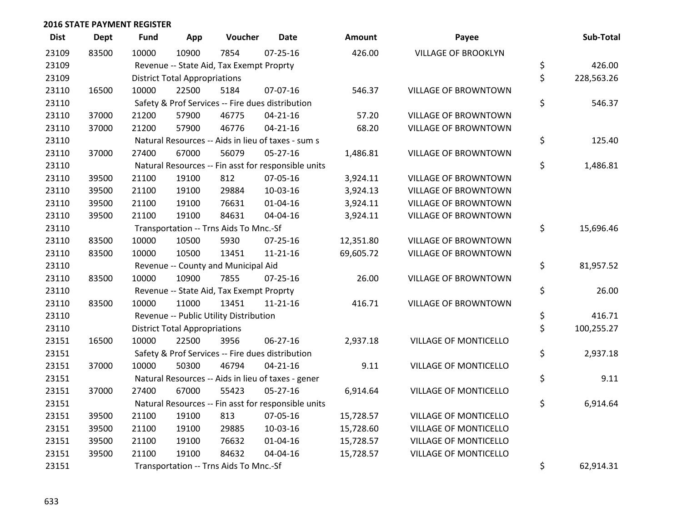| <b>Dist</b> | <b>Dept</b> | Fund                                   | App                                  | Voucher                                          | <b>Date</b>                                         | <b>Amount</b> | Payee                       |    | Sub-Total  |
|-------------|-------------|----------------------------------------|--------------------------------------|--------------------------------------------------|-----------------------------------------------------|---------------|-----------------------------|----|------------|
| 23109       | 83500       | 10000                                  | 10900                                | 7854                                             | $07 - 25 - 16$                                      | 426.00        | <b>VILLAGE OF BROOKLYN</b>  |    |            |
| 23109       |             |                                        |                                      | Revenue -- State Aid, Tax Exempt Proprty         |                                                     |               |                             | \$ | 426.00     |
| 23109       |             |                                        | <b>District Total Appropriations</b> |                                                  |                                                     |               |                             | \$ | 228,563.26 |
| 23110       | 16500       | 10000                                  | 22500                                | 5184                                             | 07-07-16                                            | 546.37        | VILLAGE OF BROWNTOWN        |    |            |
| 23110       |             |                                        |                                      | Safety & Prof Services -- Fire dues distribution |                                                     |               |                             | \$ | 546.37     |
| 23110       | 37000       | 21200                                  | 57900                                | 46775                                            | $04 - 21 - 16$                                      | 57.20         | <b>VILLAGE OF BROWNTOWN</b> |    |            |
| 23110       | 37000       | 21200                                  | 57900                                | 46776                                            | $04 - 21 - 16$                                      | 68.20         | <b>VILLAGE OF BROWNTOWN</b> |    |            |
| 23110       |             |                                        |                                      |                                                  | Natural Resources -- Aids in lieu of taxes - sum s  |               |                             | \$ | 125.40     |
| 23110       | 37000       | 27400                                  | 67000                                | 56079                                            | $05 - 27 - 16$                                      | 1,486.81      | VILLAGE OF BROWNTOWN        |    |            |
| 23110       |             |                                        |                                      |                                                  | Natural Resources -- Fin asst for responsible units |               |                             | \$ | 1,486.81   |
| 23110       | 39500       | 21100                                  | 19100                                | 812                                              | 07-05-16                                            | 3,924.11      | <b>VILLAGE OF BROWNTOWN</b> |    |            |
| 23110       | 39500       | 21100                                  | 19100                                | 29884                                            | 10-03-16                                            | 3,924.13      | <b>VILLAGE OF BROWNTOWN</b> |    |            |
| 23110       | 39500       | 21100                                  | 19100                                | 76631                                            | $01 - 04 - 16$                                      | 3,924.11      | VILLAGE OF BROWNTOWN        |    |            |
| 23110       | 39500       | 21100                                  | 19100                                | 84631                                            | 04-04-16                                            | 3,924.11      | VILLAGE OF BROWNTOWN        |    |            |
| 23110       |             | Transportation -- Trns Aids To Mnc.-Sf |                                      |                                                  |                                                     |               |                             |    | 15,696.46  |
| 23110       | 83500       | 10000                                  | 10500                                | 5930                                             | $07 - 25 - 16$                                      | 12,351.80     | <b>VILLAGE OF BROWNTOWN</b> |    |            |
| 23110       | 83500       | 10000                                  | 10500                                | 13451                                            | $11 - 21 - 16$                                      | 69,605.72     | VILLAGE OF BROWNTOWN        |    |            |
| 23110       |             |                                        |                                      | Revenue -- County and Municipal Aid              |                                                     |               |                             | \$ | 81,957.52  |
| 23110       | 83500       | 10000                                  | 10900                                | 7855                                             | $07 - 25 - 16$                                      | 26.00         | VILLAGE OF BROWNTOWN        |    |            |
| 23110       |             |                                        |                                      | Revenue -- State Aid, Tax Exempt Proprty         |                                                     |               |                             | \$ | 26.00      |
| 23110       | 83500       | 10000                                  | 11000                                | 13451                                            | $11 - 21 - 16$                                      | 416.71        | <b>VILLAGE OF BROWNTOWN</b> |    |            |
| 23110       |             |                                        |                                      | Revenue -- Public Utility Distribution           |                                                     |               |                             | \$ | 416.71     |
| 23110       |             |                                        | <b>District Total Appropriations</b> |                                                  |                                                     |               |                             | \$ | 100,255.27 |
| 23151       | 16500       | 10000                                  | 22500                                | 3956                                             | 06-27-16                                            | 2,937.18      | VILLAGE OF MONTICELLO       |    |            |
| 23151       |             |                                        |                                      |                                                  | Safety & Prof Services -- Fire dues distribution    |               |                             | \$ | 2,937.18   |
| 23151       | 37000       | 10000                                  | 50300                                | 46794                                            | $04 - 21 - 16$                                      | 9.11          | VILLAGE OF MONTICELLO       |    |            |
| 23151       |             |                                        |                                      |                                                  | Natural Resources -- Aids in lieu of taxes - gener  |               |                             | \$ | 9.11       |
| 23151       | 37000       | 27400                                  | 67000                                | 55423                                            | $05 - 27 - 16$                                      | 6,914.64      | VILLAGE OF MONTICELLO       |    |            |
| 23151       |             |                                        |                                      |                                                  | Natural Resources -- Fin asst for responsible units |               |                             | \$ | 6,914.64   |
| 23151       | 39500       | 21100                                  | 19100                                | 813                                              | 07-05-16                                            | 15,728.57     | VILLAGE OF MONTICELLO       |    |            |
| 23151       | 39500       | 21100                                  | 19100                                | 29885                                            | 10-03-16                                            | 15,728.60     | VILLAGE OF MONTICELLO       |    |            |
| 23151       | 39500       | 21100                                  | 19100                                | 76632                                            | $01 - 04 - 16$                                      | 15,728.57     | VILLAGE OF MONTICELLO       |    |            |
| 23151       | 39500       | 21100                                  | 19100                                | 84632                                            | 04-04-16                                            | 15,728.57     | VILLAGE OF MONTICELLO       |    |            |
| 23151       |             |                                        |                                      | Transportation -- Trns Aids To Mnc.-Sf           |                                                     |               |                             | \$ | 62,914.31  |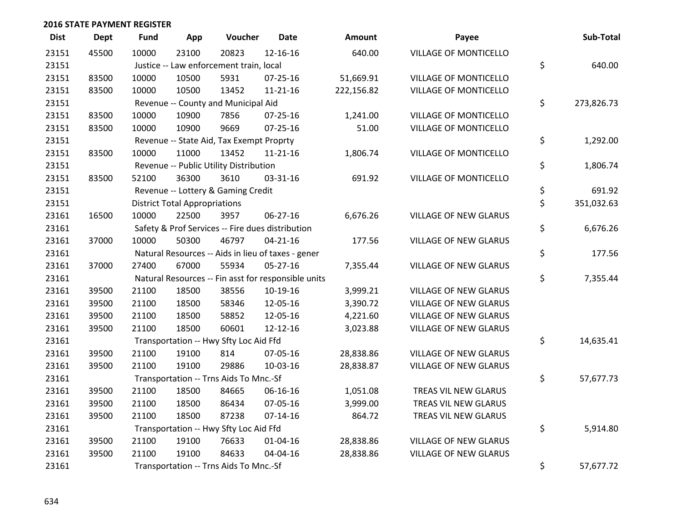| <b>Dist</b> | <b>Dept</b> | <b>Fund</b> | App                                  | Voucher                                             | <b>Date</b>    | <b>Amount</b> | Payee                        | Sub-Total        |
|-------------|-------------|-------------|--------------------------------------|-----------------------------------------------------|----------------|---------------|------------------------------|------------------|
| 23151       | 45500       | 10000       | 23100                                | 20823                                               | 12-16-16       | 640.00        | <b>VILLAGE OF MONTICELLO</b> |                  |
| 23151       |             |             |                                      | Justice -- Law enforcement train, local             |                |               |                              | \$<br>640.00     |
| 23151       | 83500       | 10000       | 10500                                | 5931                                                | 07-25-16       | 51,669.91     | VILLAGE OF MONTICELLO        |                  |
| 23151       | 83500       | 10000       | 10500                                | 13452                                               | $11 - 21 - 16$ | 222,156.82    | VILLAGE OF MONTICELLO        |                  |
| 23151       |             |             |                                      | Revenue -- County and Municipal Aid                 |                |               |                              | \$<br>273,826.73 |
| 23151       | 83500       | 10000       | 10900                                | 7856                                                | 07-25-16       | 1,241.00      | VILLAGE OF MONTICELLO        |                  |
| 23151       | 83500       | 10000       | 10900                                | 9669                                                | $07 - 25 - 16$ | 51.00         | VILLAGE OF MONTICELLO        |                  |
| 23151       |             |             |                                      | Revenue -- State Aid, Tax Exempt Proprty            |                |               |                              | \$<br>1,292.00   |
| 23151       | 83500       | 10000       | 11000                                | 13452                                               | $11 - 21 - 16$ | 1,806.74      | VILLAGE OF MONTICELLO        |                  |
| 23151       |             |             |                                      | Revenue -- Public Utility Distribution              |                |               |                              | \$<br>1,806.74   |
| 23151       | 83500       | 52100       | 36300                                | 3610                                                | 03-31-16       | 691.92        | VILLAGE OF MONTICELLO        |                  |
| 23151       |             |             |                                      | Revenue -- Lottery & Gaming Credit                  |                |               |                              | \$<br>691.92     |
| 23151       |             |             | <b>District Total Appropriations</b> |                                                     |                |               |                              | \$<br>351,032.63 |
| 23161       | 16500       | 10000       | 22500                                | 3957                                                | 06-27-16       | 6,676.26      | <b>VILLAGE OF NEW GLARUS</b> |                  |
| 23161       |             |             |                                      | Safety & Prof Services -- Fire dues distribution    |                |               |                              | \$<br>6,676.26   |
| 23161       | 37000       | 10000       | 50300                                | 46797                                               | $04 - 21 - 16$ | 177.56        | <b>VILLAGE OF NEW GLARUS</b> |                  |
| 23161       |             |             |                                      | Natural Resources -- Aids in lieu of taxes - gener  |                |               |                              | \$<br>177.56     |
| 23161       | 37000       | 27400       | 67000                                | 55934                                               | $05 - 27 - 16$ | 7,355.44      | <b>VILLAGE OF NEW GLARUS</b> |                  |
| 23161       |             |             |                                      | Natural Resources -- Fin asst for responsible units |                |               |                              | \$<br>7,355.44   |
| 23161       | 39500       | 21100       | 18500                                | 38556                                               | 10-19-16       | 3,999.21      | <b>VILLAGE OF NEW GLARUS</b> |                  |
| 23161       | 39500       | 21100       | 18500                                | 58346                                               | 12-05-16       | 3,390.72      | <b>VILLAGE OF NEW GLARUS</b> |                  |
| 23161       | 39500       | 21100       | 18500                                | 58852                                               | 12-05-16       | 4,221.60      | VILLAGE OF NEW GLARUS        |                  |
| 23161       | 39500       | 21100       | 18500                                | 60601                                               | 12-12-16       | 3,023.88      | VILLAGE OF NEW GLARUS        |                  |
| 23161       |             |             |                                      | Transportation -- Hwy Sfty Loc Aid Ffd              |                |               |                              | \$<br>14,635.41  |
| 23161       | 39500       | 21100       | 19100                                | 814                                                 | 07-05-16       | 28,838.86     | VILLAGE OF NEW GLARUS        |                  |
| 23161       | 39500       | 21100       | 19100                                | 29886                                               | 10-03-16       | 28,838.87     | VILLAGE OF NEW GLARUS        |                  |
| 23161       |             |             |                                      | Transportation -- Trns Aids To Mnc.-Sf              |                |               |                              | \$<br>57,677.73  |
| 23161       | 39500       | 21100       | 18500                                | 84665                                               | 06-16-16       | 1,051.08      | TREAS VIL NEW GLARUS         |                  |
| 23161       | 39500       | 21100       | 18500                                | 86434                                               | 07-05-16       | 3,999.00      | TREAS VIL NEW GLARUS         |                  |
| 23161       | 39500       | 21100       | 18500                                | 87238                                               | $07 - 14 - 16$ | 864.72        | TREAS VIL NEW GLARUS         |                  |
| 23161       |             |             |                                      | Transportation -- Hwy Sfty Loc Aid Ffd              |                |               |                              | \$<br>5,914.80   |
| 23161       | 39500       | 21100       | 19100                                | 76633                                               | $01 - 04 - 16$ | 28,838.86     | <b>VILLAGE OF NEW GLARUS</b> |                  |
| 23161       | 39500       | 21100       | 19100                                | 84633                                               | 04-04-16       | 28,838.86     | <b>VILLAGE OF NEW GLARUS</b> |                  |
| 23161       |             |             |                                      | Transportation -- Trns Aids To Mnc.-Sf              |                |               |                              | \$<br>57,677.72  |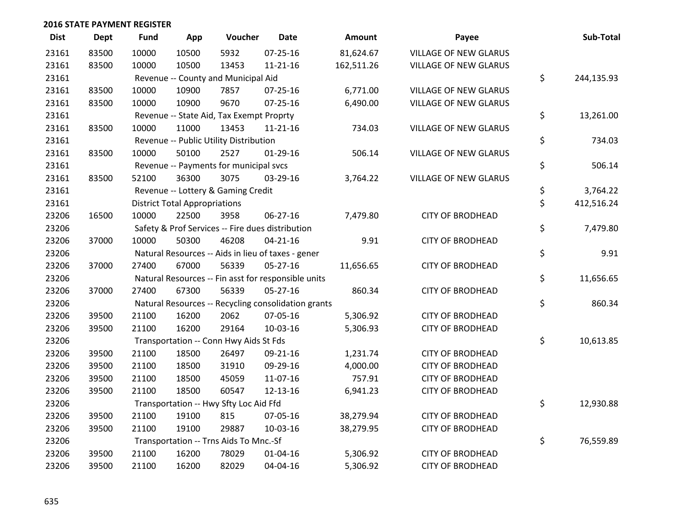| <b>Dist</b> | <b>Dept</b> | <b>Fund</b> | App                                  | Voucher                                             | <b>Date</b>    | Amount     | Payee                        | Sub-Total        |
|-------------|-------------|-------------|--------------------------------------|-----------------------------------------------------|----------------|------------|------------------------------|------------------|
| 23161       | 83500       | 10000       | 10500                                | 5932                                                | 07-25-16       | 81,624.67  | <b>VILLAGE OF NEW GLARUS</b> |                  |
| 23161       | 83500       | 10000       | 10500                                | 13453                                               | $11 - 21 - 16$ | 162,511.26 | VILLAGE OF NEW GLARUS        |                  |
| 23161       |             |             |                                      | Revenue -- County and Municipal Aid                 |                |            |                              | \$<br>244,135.93 |
| 23161       | 83500       | 10000       | 10900                                | 7857                                                | $07 - 25 - 16$ | 6,771.00   | <b>VILLAGE OF NEW GLARUS</b> |                  |
| 23161       | 83500       | 10000       | 10900                                | 9670                                                | $07 - 25 - 16$ | 6,490.00   | VILLAGE OF NEW GLARUS        |                  |
| 23161       |             |             |                                      | Revenue -- State Aid, Tax Exempt Proprty            |                |            |                              | \$<br>13,261.00  |
| 23161       | 83500       | 10000       | 11000                                | 13453                                               | $11 - 21 - 16$ | 734.03     | VILLAGE OF NEW GLARUS        |                  |
| 23161       |             |             |                                      | Revenue -- Public Utility Distribution              |                |            |                              | \$<br>734.03     |
| 23161       | 83500       | 10000       | 50100                                | 2527                                                | $01-29-16$     | 506.14     | VILLAGE OF NEW GLARUS        |                  |
| 23161       |             |             |                                      | Revenue -- Payments for municipal svcs              |                |            |                              | \$<br>506.14     |
| 23161       | 83500       | 52100       | 36300                                | 3075                                                | 03-29-16       | 3,764.22   | VILLAGE OF NEW GLARUS        |                  |
| 23161       |             |             |                                      | Revenue -- Lottery & Gaming Credit                  |                |            |                              | \$<br>3,764.22   |
| 23161       |             |             | <b>District Total Appropriations</b> |                                                     |                |            |                              | \$<br>412,516.24 |
| 23206       | 16500       | 10000       | 22500                                | 3958                                                | 06-27-16       | 7,479.80   | <b>CITY OF BRODHEAD</b>      |                  |
| 23206       |             |             |                                      | Safety & Prof Services -- Fire dues distribution    |                |            |                              | \$<br>7,479.80   |
| 23206       | 37000       | 10000       | 50300                                | 46208                                               | $04 - 21 - 16$ | 9.91       | <b>CITY OF BRODHEAD</b>      |                  |
| 23206       |             |             |                                      | Natural Resources -- Aids in lieu of taxes - gener  |                |            |                              | \$<br>9.91       |
| 23206       | 37000       | 27400       | 67000                                | 56339                                               | $05 - 27 - 16$ | 11,656.65  | <b>CITY OF BRODHEAD</b>      |                  |
| 23206       |             |             |                                      | Natural Resources -- Fin asst for responsible units |                |            |                              | \$<br>11,656.65  |
| 23206       | 37000       | 27400       | 67300                                | 56339                                               | 05-27-16       | 860.34     | <b>CITY OF BRODHEAD</b>      |                  |
| 23206       |             |             |                                      | Natural Resources -- Recycling consolidation grants |                |            |                              | \$<br>860.34     |
| 23206       | 39500       | 21100       | 16200                                | 2062                                                | 07-05-16       | 5,306.92   | <b>CITY OF BRODHEAD</b>      |                  |
| 23206       | 39500       | 21100       | 16200                                | 29164                                               | 10-03-16       | 5,306.93   | <b>CITY OF BRODHEAD</b>      |                  |
| 23206       |             |             |                                      | Transportation -- Conn Hwy Aids St Fds              |                |            |                              | \$<br>10,613.85  |
| 23206       | 39500       | 21100       | 18500                                | 26497                                               | 09-21-16       | 1,231.74   | <b>CITY OF BRODHEAD</b>      |                  |
| 23206       | 39500       | 21100       | 18500                                | 31910                                               | 09-29-16       | 4,000.00   | <b>CITY OF BRODHEAD</b>      |                  |
| 23206       | 39500       | 21100       | 18500                                | 45059                                               | 11-07-16       | 757.91     | <b>CITY OF BRODHEAD</b>      |                  |
| 23206       | 39500       | 21100       | 18500                                | 60547                                               | 12-13-16       | 6,941.23   | <b>CITY OF BRODHEAD</b>      |                  |
| 23206       |             |             |                                      | Transportation -- Hwy Sfty Loc Aid Ffd              |                |            |                              | \$<br>12,930.88  |
| 23206       | 39500       | 21100       | 19100                                | 815                                                 | 07-05-16       | 38,279.94  | <b>CITY OF BRODHEAD</b>      |                  |
| 23206       | 39500       | 21100       | 19100                                | 29887                                               | 10-03-16       | 38,279.95  | <b>CITY OF BRODHEAD</b>      |                  |
| 23206       |             |             |                                      | Transportation -- Trns Aids To Mnc.-Sf              |                |            |                              | \$<br>76,559.89  |
| 23206       | 39500       | 21100       | 16200                                | 78029                                               | $01 - 04 - 16$ | 5,306.92   | <b>CITY OF BRODHEAD</b>      |                  |
| 23206       | 39500       | 21100       | 16200                                | 82029                                               | 04-04-16       | 5,306.92   | <b>CITY OF BRODHEAD</b>      |                  |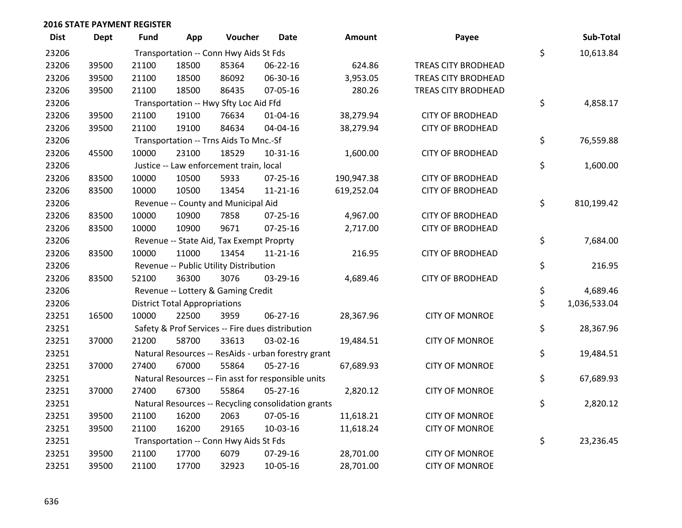| <b>Dist</b> | <b>Dept</b> | <b>Fund</b> | App                                  | Voucher                                  | Date                                                | <b>Amount</b> | Payee                      | Sub-Total          |
|-------------|-------------|-------------|--------------------------------------|------------------------------------------|-----------------------------------------------------|---------------|----------------------------|--------------------|
| 23206       |             |             |                                      | Transportation -- Conn Hwy Aids St Fds   |                                                     |               |                            | \$<br>10,613.84    |
| 23206       | 39500       | 21100       | 18500                                | 85364                                    | 06-22-16                                            | 624.86        | TREAS CITY BRODHEAD        |                    |
| 23206       | 39500       | 21100       | 18500                                | 86092                                    | 06-30-16                                            | 3,953.05      | TREAS CITY BRODHEAD        |                    |
| 23206       | 39500       | 21100       | 18500                                | 86435                                    | 07-05-16                                            | 280.26        | <b>TREAS CITY BRODHEAD</b> |                    |
| 23206       |             |             |                                      | Transportation -- Hwy Sfty Loc Aid Ffd   |                                                     |               |                            | \$<br>4,858.17     |
| 23206       | 39500       | 21100       | 19100                                | 76634                                    | 01-04-16                                            | 38,279.94     | <b>CITY OF BRODHEAD</b>    |                    |
| 23206       | 39500       | 21100       | 19100                                | 84634                                    | 04-04-16                                            | 38,279.94     | <b>CITY OF BRODHEAD</b>    |                    |
| 23206       |             |             |                                      | Transportation -- Trns Aids To Mnc.-Sf   |                                                     |               |                            | \$<br>76,559.88    |
| 23206       | 45500       | 10000       | 23100                                | 18529                                    | 10-31-16                                            | 1,600.00      | <b>CITY OF BRODHEAD</b>    |                    |
| 23206       |             |             |                                      | Justice -- Law enforcement train, local  |                                                     |               |                            | \$<br>1,600.00     |
| 23206       | 83500       | 10000       | 10500                                | 5933                                     | $07 - 25 - 16$                                      | 190,947.38    | <b>CITY OF BRODHEAD</b>    |                    |
| 23206       | 83500       | 10000       | 10500                                | 13454                                    | $11 - 21 - 16$                                      | 619,252.04    | <b>CITY OF BRODHEAD</b>    |                    |
| 23206       |             |             |                                      | Revenue -- County and Municipal Aid      |                                                     |               |                            | \$<br>810,199.42   |
| 23206       | 83500       | 10000       | 10900                                | 7858                                     | $07 - 25 - 16$                                      | 4,967.00      | <b>CITY OF BRODHEAD</b>    |                    |
| 23206       | 83500       | 10000       | 10900                                | 9671                                     | $07 - 25 - 16$                                      | 2,717.00      | <b>CITY OF BRODHEAD</b>    |                    |
| 23206       |             |             |                                      | Revenue -- State Aid, Tax Exempt Proprty |                                                     |               |                            | \$<br>7,684.00     |
| 23206       | 83500       | 10000       | 11000                                | 13454                                    | $11 - 21 - 16$                                      | 216.95        | <b>CITY OF BRODHEAD</b>    |                    |
| 23206       |             |             |                                      | Revenue -- Public Utility Distribution   |                                                     |               |                            | \$<br>216.95       |
| 23206       | 83500       | 52100       | 36300                                | 3076                                     | 03-29-16                                            | 4,689.46      | <b>CITY OF BRODHEAD</b>    |                    |
| 23206       |             |             |                                      | Revenue -- Lottery & Gaming Credit       |                                                     |               |                            | \$<br>4,689.46     |
| 23206       |             |             | <b>District Total Appropriations</b> |                                          |                                                     |               |                            | \$<br>1,036,533.04 |
| 23251       | 16500       | 10000       | 22500                                | 3959                                     | 06-27-16                                            | 28,367.96     | <b>CITY OF MONROE</b>      |                    |
| 23251       |             |             |                                      |                                          | Safety & Prof Services -- Fire dues distribution    |               |                            | \$<br>28,367.96    |
| 23251       | 37000       | 21200       | 58700                                | 33613                                    | 03-02-16                                            | 19,484.51     | <b>CITY OF MONROE</b>      |                    |
| 23251       |             |             |                                      |                                          | Natural Resources -- ResAids - urban forestry grant |               |                            | \$<br>19,484.51    |
| 23251       | 37000       | 27400       | 67000                                | 55864                                    | 05-27-16                                            | 67,689.93     | <b>CITY OF MONROE</b>      |                    |
| 23251       |             |             |                                      |                                          | Natural Resources -- Fin asst for responsible units |               |                            | \$<br>67,689.93    |
| 23251       | 37000       | 27400       | 67300                                | 55864                                    | 05-27-16                                            | 2,820.12      | <b>CITY OF MONROE</b>      |                    |
| 23251       |             |             |                                      |                                          | Natural Resources -- Recycling consolidation grants |               |                            | \$<br>2,820.12     |
| 23251       | 39500       | 21100       | 16200                                | 2063                                     | 07-05-16                                            | 11,618.21     | <b>CITY OF MONROE</b>      |                    |
| 23251       | 39500       | 21100       | 16200                                | 29165                                    | 10-03-16                                            | 11,618.24     | <b>CITY OF MONROE</b>      |                    |
| 23251       |             |             |                                      | Transportation -- Conn Hwy Aids St Fds   |                                                     |               |                            | \$<br>23,236.45    |
| 23251       | 39500       | 21100       | 17700                                | 6079                                     | 07-29-16                                            | 28,701.00     | <b>CITY OF MONROE</b>      |                    |
| 23251       | 39500       | 21100       | 17700                                | 32923                                    | 10-05-16                                            | 28,701.00     | <b>CITY OF MONROE</b>      |                    |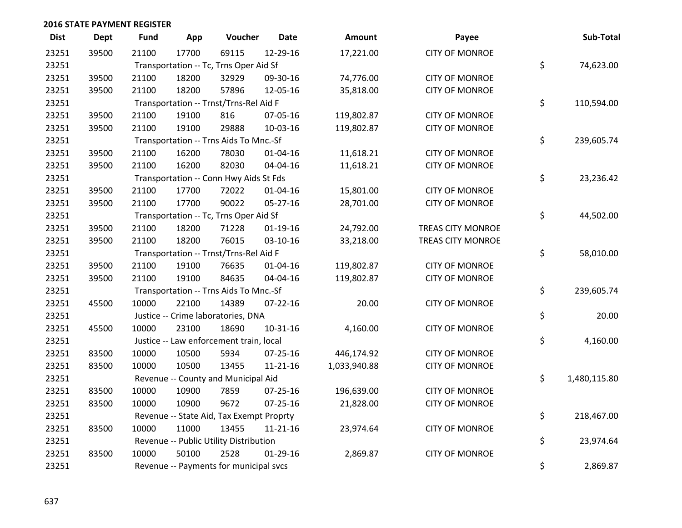| <b>Dist</b> | <b>Dept</b> | Fund  | App   | Voucher                                  | <b>Date</b>    | <b>Amount</b> | Payee                    | Sub-Total          |
|-------------|-------------|-------|-------|------------------------------------------|----------------|---------------|--------------------------|--------------------|
| 23251       | 39500       | 21100 | 17700 | 69115                                    | 12-29-16       | 17,221.00     | <b>CITY OF MONROE</b>    |                    |
| 23251       |             |       |       | Transportation -- Tc, Trns Oper Aid Sf   |                |               |                          | \$<br>74,623.00    |
| 23251       | 39500       | 21100 | 18200 | 32929                                    | 09-30-16       | 74,776.00     | <b>CITY OF MONROE</b>    |                    |
| 23251       | 39500       | 21100 | 18200 | 57896                                    | 12-05-16       | 35,818.00     | <b>CITY OF MONROE</b>    |                    |
| 23251       |             |       |       | Transportation -- Trnst/Trns-Rel Aid F   |                |               |                          | \$<br>110,594.00   |
| 23251       | 39500       | 21100 | 19100 | 816                                      | 07-05-16       | 119,802.87    | <b>CITY OF MONROE</b>    |                    |
| 23251       | 39500       | 21100 | 19100 | 29888                                    | 10-03-16       | 119,802.87    | <b>CITY OF MONROE</b>    |                    |
| 23251       |             |       |       | Transportation -- Trns Aids To Mnc.-Sf   |                |               |                          | \$<br>239,605.74   |
| 23251       | 39500       | 21100 | 16200 | 78030                                    | $01 - 04 - 16$ | 11,618.21     | <b>CITY OF MONROE</b>    |                    |
| 23251       | 39500       | 21100 | 16200 | 82030                                    | 04-04-16       | 11,618.21     | <b>CITY OF MONROE</b>    |                    |
| 23251       |             |       |       | Transportation -- Conn Hwy Aids St Fds   |                |               |                          | \$<br>23,236.42    |
| 23251       | 39500       | 21100 | 17700 | 72022                                    | $01 - 04 - 16$ | 15,801.00     | <b>CITY OF MONROE</b>    |                    |
| 23251       | 39500       | 21100 | 17700 | 90022                                    | $05 - 27 - 16$ | 28,701.00     | <b>CITY OF MONROE</b>    |                    |
| 23251       |             |       |       | Transportation -- Tc, Trns Oper Aid Sf   |                |               |                          | \$<br>44,502.00    |
| 23251       | 39500       | 21100 | 18200 | 71228                                    | $01-19-16$     | 24,792.00     | <b>TREAS CITY MONROE</b> |                    |
| 23251       | 39500       | 21100 | 18200 | 76015                                    | 03-10-16       | 33,218.00     | <b>TREAS CITY MONROE</b> |                    |
| 23251       |             |       |       | Transportation -- Trnst/Trns-Rel Aid F   |                |               |                          | \$<br>58,010.00    |
| 23251       | 39500       | 21100 | 19100 | 76635                                    | $01 - 04 - 16$ | 119,802.87    | <b>CITY OF MONROE</b>    |                    |
| 23251       | 39500       | 21100 | 19100 | 84635                                    | 04-04-16       | 119,802.87    | <b>CITY OF MONROE</b>    |                    |
| 23251       |             |       |       | Transportation -- Trns Aids To Mnc.-Sf   |                |               |                          | \$<br>239,605.74   |
| 23251       | 45500       | 10000 | 22100 | 14389                                    | $07 - 22 - 16$ | 20.00         | <b>CITY OF MONROE</b>    |                    |
| 23251       |             |       |       | Justice -- Crime laboratories, DNA       |                |               |                          | \$<br>20.00        |
| 23251       | 45500       | 10000 | 23100 | 18690                                    | 10-31-16       | 4,160.00      | <b>CITY OF MONROE</b>    |                    |
| 23251       |             |       |       | Justice -- Law enforcement train, local  |                |               |                          | \$<br>4,160.00     |
| 23251       | 83500       | 10000 | 10500 | 5934                                     | 07-25-16       | 446,174.92    | <b>CITY OF MONROE</b>    |                    |
| 23251       | 83500       | 10000 | 10500 | 13455                                    | 11-21-16       | 1,033,940.88  | <b>CITY OF MONROE</b>    |                    |
| 23251       |             |       |       | Revenue -- County and Municipal Aid      |                |               |                          | \$<br>1,480,115.80 |
| 23251       | 83500       | 10000 | 10900 | 7859                                     | 07-25-16       | 196,639.00    | <b>CITY OF MONROE</b>    |                    |
| 23251       | 83500       | 10000 | 10900 | 9672                                     | 07-25-16       | 21,828.00     | <b>CITY OF MONROE</b>    |                    |
| 23251       |             |       |       | Revenue -- State Aid, Tax Exempt Proprty |                |               |                          | \$<br>218,467.00   |
| 23251       | 83500       | 10000 | 11000 | 13455                                    | $11 - 21 - 16$ | 23,974.64     | <b>CITY OF MONROE</b>    |                    |
| 23251       |             |       |       | Revenue -- Public Utility Distribution   |                |               |                          | \$<br>23,974.64    |
| 23251       | 83500       | 10000 | 50100 | 2528                                     | $01-29-16$     | 2,869.87      | <b>CITY OF MONROE</b>    |                    |
| 23251       |             |       |       | Revenue -- Payments for municipal svcs   |                |               |                          | \$<br>2,869.87     |